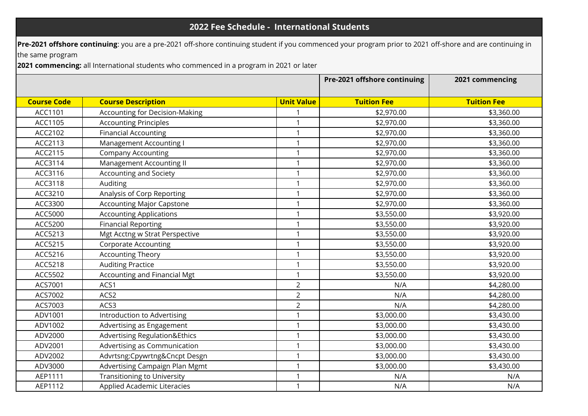## **2022 Fee Schedule - International Students**

**Pre-2021 offshore continuing**: you are a pre-2021 off-shore continuing student if you commenced your program prior to 2021 off-shore and are continuing in

the same program

**2021 commencing:** all International students who commenced in a program in 2021 or later

|                    |                                          |                   | Pre-2021 offshore continuing | 2021 commencing    |
|--------------------|------------------------------------------|-------------------|------------------------------|--------------------|
| <b>Course Code</b> | <b>Course Description</b>                | <b>Unit Value</b> | <b>Tuition Fee</b>           | <b>Tuition Fee</b> |
| ACC1101            | <b>Accounting for Decision-Making</b>    |                   | \$2,970.00                   | \$3,360.00         |
| ACC1105            | <b>Accounting Principles</b>             | $\mathbf{1}$      | \$2,970.00                   | \$3,360.00         |
| ACC2102            | <b>Financial Accounting</b>              | $\mathbf{1}$      | \$2,970.00                   | \$3,360.00         |
| ACC2113            | Management Accounting I                  | 1                 | \$2,970.00                   | \$3,360.00         |
| ACC2115            | <b>Company Accounting</b>                | $\mathbf{1}$      | \$2,970.00                   | \$3,360.00         |
| ACC3114            | Management Accounting II                 | $\mathbf{1}$      | \$2,970.00                   | \$3,360.00         |
| ACC3116            | <b>Accounting and Society</b>            | $\mathbf{1}$      | \$2,970.00                   | \$3,360.00         |
| ACC3118            | Auditing                                 | $\mathbf{1}$      | \$2,970.00                   | \$3,360.00         |
| ACC3210            | Analysis of Corp Reporting               | $\mathbf{1}$      | \$2,970.00                   | \$3,360.00         |
| ACC3300            | <b>Accounting Major Capstone</b>         | $\mathbf{1}$      | \$2,970.00                   | \$3,360.00         |
| ACC5000            | <b>Accounting Applications</b>           | $\mathbf{1}$      | \$3,550.00                   | \$3,920.00         |
| ACC5200            | <b>Financial Reporting</b>               | $\mathbf{1}$      | \$3,550.00                   | \$3,920.00         |
| ACC5213            | Mgt Acctng w Strat Perspective           | $\mathbf{1}$      | \$3,550.00                   | \$3,920.00         |
| ACC5215            | <b>Corporate Accounting</b>              | $\mathbf{1}$      | \$3,550.00                   | \$3,920.00         |
| ACC5216            | <b>Accounting Theory</b>                 | $\mathbf{1}$      | \$3,550.00                   | \$3,920.00         |
| ACC5218            | <b>Auditing Practice</b>                 | $\mathbf{1}$      | \$3,550.00                   | \$3,920.00         |
| ACC5502            | Accounting and Financial Mgt             | $\mathbf{1}$      | \$3,550.00                   | \$3,920.00         |
| ACS7001            | ACS1                                     | $\overline{2}$    | N/A                          | \$4,280.00         |
| ACS7002            | ACS2                                     | $\overline{2}$    | N/A                          | \$4,280.00         |
| ACS7003            | ACS3                                     | $\overline{2}$    | N/A                          | \$4,280.00         |
| ADV1001            | Introduction to Advertising              | $\mathbf{1}$      | \$3,000.00                   | \$3,430.00         |
| ADV1002            | Advertising as Engagement                | $\mathbf{1}$      | \$3,000.00                   | \$3,430.00         |
| ADV2000            | <b>Advertising Regulation&amp;Ethics</b> | $\mathbf{1}$      | \$3,000.00                   | \$3,430.00         |
| ADV2001            | Advertising as Communication             | $\mathbf{1}$      | \$3,000.00                   | \$3,430.00         |
| ADV2002            | Advrtsng:Cpywrtng&Cncpt Desgn            | $\mathbf{1}$      | \$3,000.00                   | \$3,430.00         |
| ADV3000            | Advertising Campaign Plan Mgmt           | $\mathbf{1}$      | \$3,000.00                   | \$3,430.00         |
| AEP1111            | <b>Transitioning to University</b>       | $\mathbf{1}$      | N/A                          | N/A                |
| AEP1112            | Applied Academic Literacies              | $\mathbf{1}$      | N/A                          | N/A                |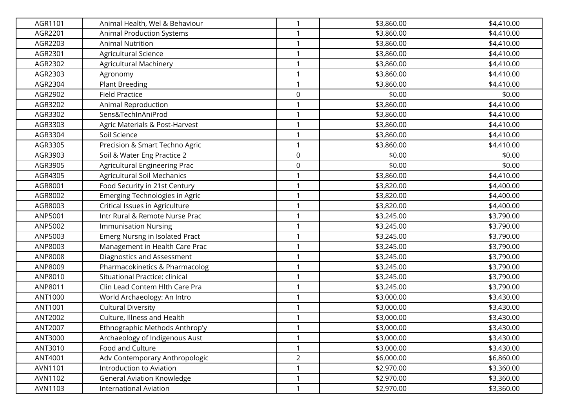| AGR1101 | Animal Health, Wel & Behaviour        | $\mathbf{1}$   | \$3,860.00 | \$4,410.00 |
|---------|---------------------------------------|----------------|------------|------------|
| AGR2201 | Animal Production Systems             |                | \$3,860.00 | \$4,410.00 |
| AGR2203 | <b>Animal Nutrition</b>               | 1              | \$3,860.00 | \$4,410.00 |
| AGR2301 | Agricultural Science                  | $\mathbf{1}$   | \$3,860.00 | \$4,410.00 |
| AGR2302 | <b>Agricultural Machinery</b>         | 1              | \$3,860.00 | \$4,410.00 |
| AGR2303 | Agronomy                              | 1              | \$3,860.00 | \$4,410.00 |
| AGR2304 | <b>Plant Breeding</b>                 | 1              | \$3,860.00 | \$4,410.00 |
| AGR2902 | <b>Field Practice</b>                 | 0              | \$0.00     | \$0.00     |
| AGR3202 | Animal Reproduction                   |                | \$3,860.00 | \$4,410.00 |
| AGR3302 | Sens&TechInAniProd                    |                | \$3,860.00 | \$4,410.00 |
| AGR3303 | Agric Materials & Post-Harvest        | $\mathbf{1}$   | \$3,860.00 | \$4,410.00 |
| AGR3304 | Soil Science                          | 1              | \$3,860.00 | \$4,410.00 |
| AGR3305 | Precision & Smart Techno Agric        | 1              | \$3,860.00 | \$4,410.00 |
| AGR3903 | Soil & Water Eng Practice 2           | 0              | \$0.00     | \$0.00     |
| AGR3905 | Agricultural Engineering Prac         | 0              | \$0.00     | \$0.00     |
| AGR4305 | <b>Agricultural Soil Mechanics</b>    | 1              | \$3,860.00 | \$4,410.00 |
| AGR8001 | Food Security in 21st Century         | 1              | \$3,820.00 | \$4,400.00 |
| AGR8002 | <b>Emerging Technologies in Agric</b> | 1              | \$3,820.00 | \$4,400.00 |
| AGR8003 | Critical Issues in Agriculture        | 1              | \$3,820.00 | \$4,400.00 |
| ANP5001 | Intr Rural & Remote Nurse Prac        | 1              | \$3,245.00 | \$3,790.00 |
| ANP5002 | <b>Immunisation Nursing</b>           | 1              | \$3,245.00 | \$3,790.00 |
| ANP5003 | Emerg Nursng in Isolated Pract        | 1              | \$3,245.00 | \$3,790.00 |
| ANP8003 | Management in Health Care Prac        | $\mathbf{1}$   | \$3,245.00 | \$3,790.00 |
| ANP8008 | Diagnostics and Assessment            | 1              | \$3,245.00 | \$3,790.00 |
| ANP8009 | Pharmacokinetics & Pharmacolog        | 1              | \$3,245.00 | \$3,790.00 |
| ANP8010 | Situational Practice: clinical        | 1              | \$3,245.00 | \$3,790.00 |
| ANP8011 | Clin Lead Contem Hlth Care Pra        | 1              | \$3,245.00 | \$3,790.00 |
| ANT1000 | World Archaeology: An Intro           | 1              | \$3,000.00 | \$3,430.00 |
| ANT1001 | <b>Cultural Diversity</b>             |                | \$3,000.00 | \$3,430.00 |
| ANT2002 | Culture, Illness and Health           | $\mathbf{1}$   | \$3,000.00 | \$3,430.00 |
| ANT2007 | Ethnographic Methods Anthrop'y        |                | \$3,000.00 | \$3,430.00 |
| ANT3000 | Archaeology of Indigenous Aust        | 1              | \$3,000.00 | \$3,430.00 |
| ANT3010 | Food and Culture                      |                | \$3,000.00 | \$3,430.00 |
| ANT4001 | Adv Contemporary Anthropologic        | $\overline{2}$ | \$6,000.00 | \$6,860.00 |
| AVN1101 | Introduction to Aviation              | 1              | \$2,970.00 | \$3,360.00 |
| AVN1102 | <b>General Aviation Knowledge</b>     |                | \$2,970.00 | \$3,360.00 |
| AVN1103 | <b>International Aviation</b>         | 1              | \$2,970.00 | \$3,360.00 |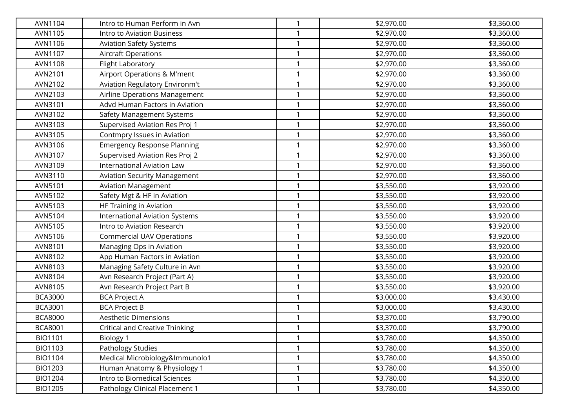| AVN1104        | Intro to Human Perform in Avn         |   | \$2,970.00 | \$3,360.00 |
|----------------|---------------------------------------|---|------------|------------|
| AVN1105        | Intro to Aviation Business            |   | \$2,970.00 | \$3,360.00 |
| AVN1106        | <b>Aviation Safety Systems</b>        |   | \$2,970.00 | \$3,360.00 |
| AVN1107        | <b>Aircraft Operations</b>            | 1 | \$2,970.00 | \$3,360.00 |
| <b>AVN1108</b> | Flight Laboratory                     |   | \$2,970.00 | \$3,360.00 |
| AVN2101        | Airport Operations & M'ment           |   | \$2,970.00 | \$3,360.00 |
| AVN2102        | Aviation Regulatory Environm't        |   | \$2,970.00 | \$3,360.00 |
| AVN2103        | Airline Operations Management         |   | \$2,970.00 | \$3,360.00 |
| AVN3101        | Advd Human Factors in Aviation        |   | \$2,970.00 | \$3,360.00 |
| AVN3102        | Safety Management Systems             |   | \$2,970.00 | \$3,360.00 |
| AVN3103        | Supervised Aviation Res Proj 1        |   | \$2,970.00 | \$3,360.00 |
| AVN3105        | Contmpry Issues in Aviation           |   | \$2,970.00 | \$3,360.00 |
| AVN3106        | <b>Emergency Response Planning</b>    |   | \$2,970.00 | \$3,360.00 |
| AVN3107        | Supervised Aviation Res Proj 2        |   | \$2,970.00 | \$3,360.00 |
| AVN3109        | <b>International Aviation Law</b>     |   | \$2,970.00 | \$3,360.00 |
| AVN3110        | <b>Aviation Security Management</b>   |   | \$2,970.00 | \$3,360.00 |
| AVN5101        | <b>Aviation Management</b>            |   | \$3,550.00 | \$3,920.00 |
| AVN5102        | Safety Mgt & HF in Aviation           | 1 | \$3,550.00 | \$3,920.00 |
| AVN5103        | HF Training in Aviation               |   | \$3,550.00 | \$3,920.00 |
| AVN5104        | <b>International Aviation Systems</b> |   | \$3,550.00 | \$3,920.00 |
| AVN5105        | Intro to Aviation Research            |   | \$3,550.00 | \$3,920.00 |
| AVN5106        | <b>Commercial UAV Operations</b>      |   | \$3,550.00 | \$3,920.00 |
| AVN8101        | Managing Ops in Aviation              | 1 | \$3,550.00 | \$3,920.00 |
| AVN8102        | App Human Factors in Aviation         |   | \$3,550.00 | \$3,920.00 |
| AVN8103        | Managing Safety Culture in Avn        |   | \$3,550.00 | \$3,920.00 |
| AVN8104        | Avn Research Project (Part A)         |   | \$3,550.00 | \$3,920.00 |
| AVN8105        | Avn Research Project Part B           |   | \$3,550.00 | \$3,920.00 |
| <b>BCA3000</b> | <b>BCA Project A</b>                  |   | \$3,000.00 | \$3,430.00 |
| <b>BCA3001</b> | <b>BCA Project B</b>                  |   | \$3,000.00 | \$3,430.00 |
| <b>BCA8000</b> | <b>Aesthetic Dimensions</b>           |   | \$3,370.00 | \$3,790.00 |
| <b>BCA8001</b> | <b>Critical and Creative Thinking</b> |   | \$3,370.00 | \$3,790.00 |
| <b>BIO1101</b> | <b>Biology 1</b>                      | 1 | \$3,780.00 | \$4,350.00 |
| BIO1103        | Pathology Studies                     |   | \$3,780.00 | \$4,350.00 |
| <b>BIO1104</b> | Medical Microbiology&Immunolo1        |   | \$3,780.00 | \$4,350.00 |
| BIO1203        | Human Anatomy & Physiology 1          | 1 | \$3,780.00 | \$4,350.00 |
| <b>BIO1204</b> | Intro to Biomedical Sciences          |   | \$3,780.00 | \$4,350.00 |
| <b>BIO1205</b> | Pathology Clinical Placement 1        | 1 | \$3,780.00 | \$4,350.00 |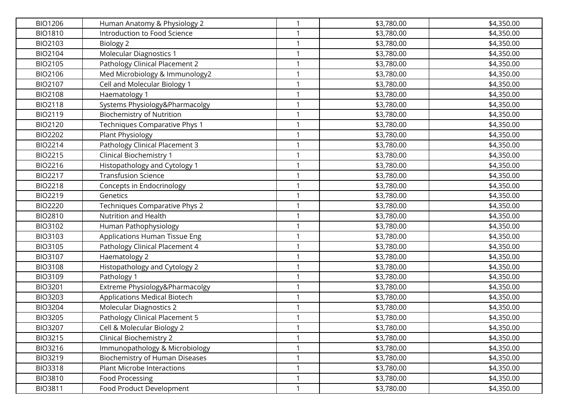| <b>BIO1206</b> |                                                              | 1            | \$3,780.00               | \$4,350.00               |
|----------------|--------------------------------------------------------------|--------------|--------------------------|--------------------------|
| <b>BIO1810</b> | Human Anatomy & Physiology 2<br>Introduction to Food Science |              |                          |                          |
| BIO2103        |                                                              | 1            | \$3,780.00<br>\$3,780.00 | \$4,350.00<br>\$4,350.00 |
| BIO2104        | Biology 2<br>Molecular Diagnostics 1                         | $\mathbf{1}$ | \$3,780.00               | \$4,350.00               |
|                |                                                              | 1            |                          |                          |
| BIO2105        | Pathology Clinical Placement 2                               | $\mathbf{1}$ | \$3,780.00               | \$4,350.00               |
| BIO2106        | Med Microbiology & Immunology2                               |              | \$3,780.00               | \$4,350.00               |
| <b>BIO2107</b> | Cell and Molecular Biology 1                                 | 1            | \$3,780.00               | \$4,350.00               |
| <b>BIO2108</b> | Haematology 1                                                | 1            | \$3,780.00               | \$4,350.00               |
| <b>BIO2118</b> | Systems Physiology&Pharmacolgy                               | 1            | \$3,780.00               | \$4,350.00               |
| <b>BIO2119</b> | <b>Biochemistry of Nutrition</b>                             | 1            | \$3,780.00               | \$4,350.00               |
| BIO2120        | Techniques Comparative Phys 1                                | 1            | \$3,780.00               | \$4,350.00               |
| <b>BIO2202</b> | Plant Physiology                                             | 1            | \$3,780.00               | \$4,350.00               |
| BIO2214        | Pathology Clinical Placement 3                               | 1            | \$3,780.00               | \$4,350.00               |
| <b>BIO2215</b> | Clinical Biochemistry 1                                      | 1            | \$3,780.00               | \$4,350.00               |
| BIO2216        | Histopathology and Cytology 1                                | 1            | \$3,780.00               | \$4,350.00               |
| <b>BIO2217</b> | <b>Transfusion Science</b>                                   | 1            | \$3,780.00               | \$4,350.00               |
| <b>BIO2218</b> | Concepts in Endocrinology                                    | 1            | \$3,780.00               | \$4,350.00               |
| <b>BIO2219</b> | Genetics                                                     | 1            | \$3,780.00               | \$4,350.00               |
| <b>BIO2220</b> | Techniques Comparative Phys 2                                | 1            | \$3,780.00               | \$4,350.00               |
| <b>BIO2810</b> | Nutrition and Health                                         | 1            | \$3,780.00               | \$4,350.00               |
| BIO3102        | Human Pathophysiology                                        |              | \$3,780.00               | \$4,350.00               |
| BIO3103        | Applications Human Tissue Eng                                | 1            | \$3,780.00               | \$4,350.00               |
| BIO3105        | Pathology Clinical Placement 4                               | $\mathbf{1}$ | \$3,780.00               | \$4,350.00               |
| BIO3107        | Haematology 2                                                | 1            | \$3,780.00               | \$4,350.00               |
| <b>BIO3108</b> | Histopathology and Cytology 2                                | 1            | \$3,780.00               | \$4,350.00               |
| <b>BIO3109</b> | Pathology 1                                                  | 1            | \$3,780.00               | \$4,350.00               |
| <b>BIO3201</b> | Extreme Physiology&Pharmacolgy                               | 1            | \$3,780.00               | \$4,350.00               |
| <b>BIO3203</b> | Applications Medical Biotech                                 | 1            | \$3,780.00               | \$4,350.00               |
| <b>BIO3204</b> | <b>Molecular Diagnostics 2</b>                               | 1            | \$3,780.00               | \$4,350.00               |
| <b>BIO3205</b> | Pathology Clinical Placement 5                               | 1            | \$3,780.00               | \$4,350.00               |
| <b>BIO3207</b> | Cell & Molecular Biology 2                                   |              | \$3,780.00               | \$4,350.00               |
| <b>BIO3215</b> | <b>Clinical Biochemistry 2</b>                               | 1            | \$3,780.00               | \$4,350.00               |
| BIO3216        | Immunopathology & Microbiology                               | 1            | \$3,780.00               | \$4,350.00               |
| <b>BIO3219</b> | <b>Biochemistry of Human Diseases</b>                        | 1            | \$3,780.00               | \$4,350.00               |
| <b>BIO3318</b> | <b>Plant Microbe Interactions</b>                            | 1            | \$3,780.00               | \$4,350.00               |
| <b>BIO3810</b> | Food Processing                                              | 1            | \$3,780.00               | \$4,350.00               |
| <b>BIO3811</b> | Food Product Development                                     | $\mathbf{1}$ | \$3,780.00               | \$4,350.00               |
|                |                                                              |              |                          |                          |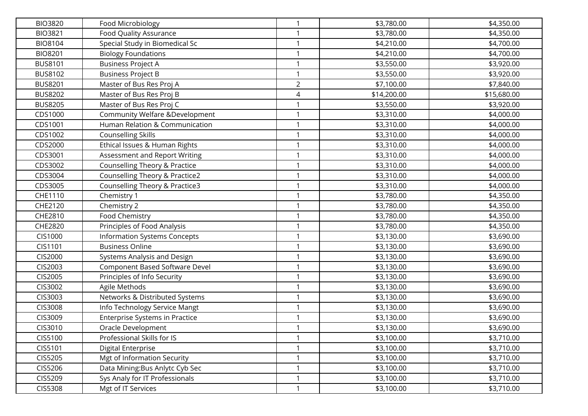| <b>BIO3820</b> | Food Microbiology                     | 1              | \$3,780.00  | \$4,350.00  |
|----------------|---------------------------------------|----------------|-------------|-------------|
| <b>BIO3821</b> | <b>Food Quality Assurance</b>         |                | \$3,780.00  | \$4,350.00  |
| <b>BIO8104</b> | Special Study in Biomedical Sc        | 1              | \$4,210.00  | \$4,700.00  |
| <b>BIO8201</b> | <b>Biology Foundations</b>            | $\mathbf{1}$   | \$4,210.00  | \$4,700.00  |
| <b>BUS8101</b> | <b>Business Project A</b>             | 1              | \$3,550.00  | \$3,920.00  |
| <b>BUS8102</b> | <b>Business Project B</b>             | 1              | \$3,550.00  | \$3,920.00  |
| <b>BUS8201</b> | Master of Bus Res Proj A              | $\overline{2}$ | \$7,100.00  | \$7,840.00  |
| <b>BUS8202</b> | Master of Bus Res Proj B              | 4              | \$14,200.00 | \$15,680.00 |
| <b>BUS8205</b> | Master of Bus Res Proj C              | 1              | \$3,550.00  | \$3,920.00  |
| CDS1000        | Community Welfare &Development        | 1              | \$3,310.00  | \$4,000.00  |
| CDS1001        | Human Relation & Communication        | 1              | \$3,310.00  | \$4,000.00  |
| CDS1002        | <b>Counselling Skills</b>             | 1              | \$3,310.00  | \$4,000.00  |
| CDS2000        | Ethical Issues & Human Rights         | $\mathbf{1}$   | \$3,310.00  | \$4,000.00  |
| CDS3001        | Assessment and Report Writing         | 1              | \$3,310.00  | \$4,000.00  |
| CDS3002        | Counselling Theory & Practice         | 1              | \$3,310.00  | \$4,000.00  |
| CDS3004        | Counselling Theory & Practice2        | 1              | \$3,310.00  | \$4,000.00  |
| CDS3005        | Counselling Theory & Practice3        | 1              | \$3,310.00  | \$4,000.00  |
| CHE1110        | Chemistry 1                           | 1              | \$3,780.00  | \$4,350.00  |
| CHE2120        | Chemistry 2                           | 1              | \$3,780.00  | \$4,350.00  |
| CHE2810        | Food Chemistry                        | 1              | \$3,780.00  | \$4,350.00  |
| CHE2820        | Principles of Food Analysis           | 1              | \$3,780.00  | \$4,350.00  |
| <b>CIS1000</b> | <b>Information Systems Concepts</b>   | $\mathbf{1}$   | \$3,130.00  | \$3,690.00  |
| CIS1101        | <b>Business Online</b>                | $\mathbf{1}$   | \$3,130.00  | \$3,690.00  |
| <b>CIS2000</b> | Systems Analysis and Design           | 1              | \$3,130.00  | \$3,690.00  |
| CIS2003        | <b>Component Based Software Devel</b> | 1              | \$3,130.00  | \$3,690.00  |
| CIS2005        | Principles of Info Security           | 1              | \$3,130.00  | \$3,690.00  |
| CIS3002        | Agile Methods                         | 1              | \$3,130.00  | \$3,690.00  |
| CIS3003        | Networks & Distributed Systems        | 1              | \$3,130.00  | \$3,690.00  |
| CIS3008        | Info Technology Service Mangt         | 1              | \$3,130.00  | \$3,690.00  |
| CIS3009        | <b>Enterprise Systems in Practice</b> | 1              | \$3,130.00  | \$3,690.00  |
| CIS3010        | Oracle Development                    |                | \$3,130.00  | \$3,690.00  |
| CIS5100        | Professional Skills for IS            | $\mathbf{1}$   | \$3,100.00  | \$3,710.00  |
| CIS5101        | Digital Enterprise                    | 1              | \$3,100.00  | \$3,710.00  |
| CIS5205        | Mgt of Information Security           | 1              | \$3,100.00  | \$3,710.00  |
| CIS5206        | Data Mining:Bus Anlytc Cyb Sec        | $\mathbf{1}$   | \$3,100.00  | \$3,710.00  |
| CIS5209        | Sys Analy for IT Professionals        | 1              | \$3,100.00  | \$3,710.00  |
| CIS5308        | Mgt of IT Services                    | $\mathbf{1}$   | \$3,100.00  | \$3,710.00  |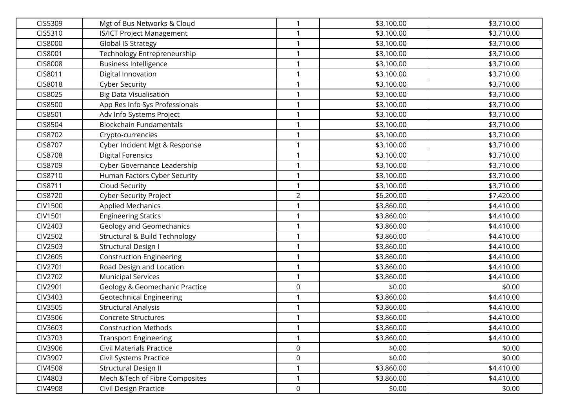| CIS5309        | Mgt of Bus Networks & Cloud              | 1              | \$3,100.00 | \$3,710.00 |
|----------------|------------------------------------------|----------------|------------|------------|
| CIS5310        | <b>IS/ICT Project Management</b>         | 1              | \$3,100.00 | \$3,710.00 |
| <b>CIS8000</b> | <b>Global IS Strategy</b>                | $\mathbf{1}$   | \$3,100.00 | \$3,710.00 |
| CIS8001        | Technology Entrepreneurship              | $\mathbf{1}$   | \$3,100.00 | \$3,710.00 |
| <b>CIS8008</b> | <b>Business Intelligence</b>             | 1              | \$3,100.00 | \$3,710.00 |
| CIS8011        | Digital Innovation                       | $\mathbf{1}$   | \$3,100.00 | \$3,710.00 |
| CIS8018        | <b>Cyber Security</b>                    | 1              | \$3,100.00 | \$3,710.00 |
| CIS8025        | <b>Big Data Visualisation</b>            | 1              | \$3,100.00 | \$3,710.00 |
| CIS8500        | App Res Info Sys Professionals           | 1              | \$3,100.00 | \$3,710.00 |
| CIS8501        | Adv Info Systems Project                 | 1              | \$3,100.00 | \$3,710.00 |
| CIS8504        | <b>Blockchain Fundamentals</b>           | $\mathbf{1}$   | \$3,100.00 | \$3,710.00 |
| CIS8702        | Crypto-currencies                        | 1              | \$3,100.00 | \$3,710.00 |
| CIS8707        | Cyber Incident Mgt & Response            | $\mathbf{1}$   | \$3,100.00 | \$3,710.00 |
| <b>CIS8708</b> | <b>Digital Forensics</b>                 | 1              | \$3,100.00 | \$3,710.00 |
| CIS8709        | Cyber Governance Leadership              | 1              | \$3,100.00 | \$3,710.00 |
| CIS8710        | Human Factors Cyber Security             | $\mathbf{1}$   | \$3,100.00 | \$3,710.00 |
| CIS8711        | Cloud Security                           | $\mathbf{1}$   | \$3,100.00 | \$3,710.00 |
| CIS8720        | <b>Cyber Security Project</b>            | $\overline{2}$ | \$6,200.00 | \$7,420.00 |
| <b>CIV1500</b> | <b>Applied Mechanics</b>                 | $\mathbf{1}$   | \$3,860.00 | \$4,410.00 |
| <b>CIV1501</b> | <b>Engineering Statics</b>               | 1              | \$3,860.00 | \$4,410.00 |
| CIV2403        | Geology and Geomechanics                 | 1              | \$3,860.00 | \$4,410.00 |
| <b>CIV2502</b> | <b>Structural &amp; Build Technology</b> | $\mathbf{1}$   | \$3,860.00 | \$4,410.00 |
| CIV2503        | <b>Structural Design I</b>               | $\mathbf{1}$   | \$3,860.00 | \$4,410.00 |
| <b>CIV2605</b> | <b>Construction Engineering</b>          | $\mathbf{1}$   | \$3,860.00 | \$4,410.00 |
| <b>CIV2701</b> | Road Design and Location                 | $\mathbf{1}$   | \$3,860.00 | \$4,410.00 |
| <b>CIV2702</b> | <b>Municipal Services</b>                | 1              | \$3,860.00 | \$4,410.00 |
| CIV2901        | Geology & Geomechanic Practice           | 0              | \$0.00     | \$0.00     |
| CIV3403        | <b>Geotechnical Engineering</b>          | 1              | \$3,860.00 | \$4,410.00 |
| CIV3505        | <b>Structural Analysis</b>               | 1              | \$3,860.00 | \$4,410.00 |
| CIV3506        | <b>Concrete Structures</b>               | $\mathbf{1}$   | \$3,860.00 | \$4,410.00 |
| CIV3603        | <b>Construction Methods</b>              | 1              | \$3,860.00 | \$4,410.00 |
| CIV3703        | <b>Transport Engineering</b>             | $\mathbf{1}$   | \$3,860.00 | \$4,410.00 |
| CIV3906        | <b>Civil Materials Practice</b>          | 0              | \$0.00     | \$0.00     |
| CIV3907        | Civil Systems Practice                   | 0              | \$0.00     | \$0.00     |
| <b>CIV4508</b> | <b>Structural Design II</b>              | $\mathbf{1}$   | \$3,860.00 | \$4,410.00 |
| CIV4803        | Mech & Tech of Fibre Composites          | $\mathbf{1}$   | \$3,860.00 | \$4,410.00 |
| <b>CIV4908</b> | Civil Design Practice                    | 0              | \$0.00     | \$0.00     |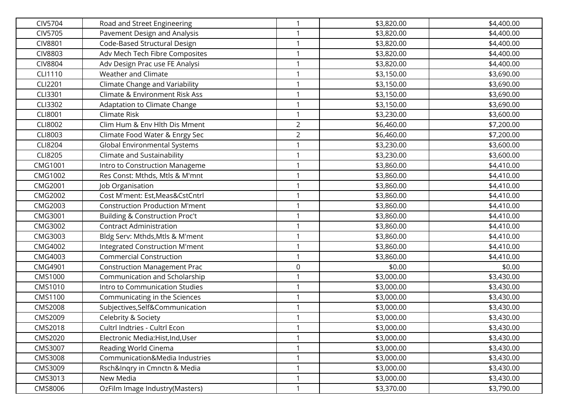| <b>CIV5704</b> | Road and Street Engineering               |                         | \$3,820.00 | \$4,400.00 |
|----------------|-------------------------------------------|-------------------------|------------|------------|
| CIV5705        | Pavement Design and Analysis              |                         | \$3,820.00 | \$4,400.00 |
| <b>CIV8801</b> | Code-Based Structural Design              |                         | \$3,820.00 | \$4,400.00 |
| <b>CIV8803</b> | Adv Mech Tech Fibre Composites            | -1                      | \$3,820.00 | \$4,400.00 |
| <b>CIV8804</b> | Adv Design Prac use FE Analysi            |                         | \$3,820.00 | \$4,400.00 |
| CLI1110        | Weather and Climate                       |                         | \$3,150.00 | \$3,690.00 |
| CLI2201        | Climate Change and Variability            |                         | \$3,150.00 | \$3,690.00 |
| CLI3301        | Climate & Environment Risk Ass            |                         | \$3,150.00 | \$3,690.00 |
| CLI3302        | Adaptation to Climate Change              | 1                       | \$3,150.00 | \$3,690.00 |
| CLI8001        | Climate Risk                              |                         | \$3,230.00 | \$3,600.00 |
| CLI8002        | Clim Hum & Env Hlth Dis Mment             | $\overline{2}$          | \$6,460.00 | \$7,200.00 |
| CLI8003        | Climate Food Water & Enrgy Sec            | $\overline{2}$          | \$6,460.00 | \$7,200.00 |
| <b>CLI8204</b> | <b>Global Environmental Systems</b>       | $\mathbf{\overline{1}}$ | \$3,230.00 | \$3,600.00 |
| <b>CLI8205</b> | Climate and Sustainability                |                         | \$3,230.00 | \$3,600.00 |
| CMG1001        | Intro to Construction Manageme            |                         | \$3,860.00 | \$4,410.00 |
| CMG1002        | Res Const: Mthds, Mtls & M'mnt            | 1                       | \$3,860.00 | \$4,410.00 |
| CMG2001        | Job Organisation                          |                         | \$3,860.00 | \$4,410.00 |
| <b>CMG2002</b> | Cost M'ment: Est, Meas&CstCntrl           | $\overline{1}$          | \$3,860.00 | \$4,410.00 |
| CMG2003        | <b>Construction Production M'ment</b>     | 1                       | \$3,860.00 | \$4,410.00 |
| CMG3001        | <b>Building &amp; Construction Proc't</b> |                         | \$3,860.00 | \$4,410.00 |
| CMG3002        | <b>Contract Administration</b>            |                         | \$3,860.00 | \$4,410.00 |
| CMG3003        | Bldg Serv: Mthds, Mtls & M'ment           |                         | \$3,860.00 | \$4,410.00 |
| <b>CMG4002</b> | Integrated Construction M'ment            | $\overline{1}$          | \$3,860.00 | \$4,410.00 |
| CMG4003        | <b>Commercial Construction</b>            | 1                       | \$3,860.00 | \$4,410.00 |
| CMG4901        | <b>Construction Management Prac</b>       | $\mathbf 0$             | \$0.00     | \$0.00     |
| CMS1000        | Communication and Scholarship             |                         | \$3,000.00 | \$3,430.00 |
| CMS1010        | Intro to Communication Studies            |                         | \$3,000.00 | \$3,430.00 |
| CMS1100        | Communicating in the Sciences             | 1                       | \$3,000.00 | \$3,430.00 |
| <b>CMS2008</b> | Subjectives, Self&Communication           |                         | \$3,000.00 | \$3,430.00 |
| CMS2009        | Celebrity & Society                       | -1                      | \$3,000.00 | \$3,430.00 |
| CMS2018        | Cultrl Indtries - Cultrl Econ             |                         | \$3,000.00 | \$3,430.00 |
| CMS2020        | Electronic Media:Hist,Ind,User            | $\mathbf 1$             | \$3,000.00 | \$3,430.00 |
| CMS3007        | Reading World Cinema                      |                         | \$3,000.00 | \$3,430.00 |
| CMS3008        | Communication&Media Industries            |                         | \$3,000.00 | \$3,430.00 |
| CMS3009        | Rsch&Ingry in Cmnctn & Media              | $\mathbf{1}$            | \$3,000.00 | \$3,430.00 |
| CMS3013        | New Media                                 |                         | \$3,000.00 | \$3,430.00 |
| CMS8006        | OzFilm Image Industry(Masters)            | $\mathbf{\overline{1}}$ | \$3,370.00 | \$3,790.00 |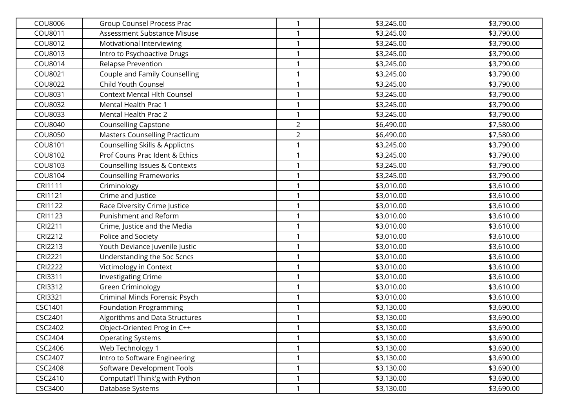| COU8006        | <b>Group Counsel Process Prac</b>         | 1              | \$3,245.00 | \$3,790.00 |
|----------------|-------------------------------------------|----------------|------------|------------|
| COU8011        | Assessment Substance Misuse               |                | \$3,245.00 | \$3,790.00 |
| COU8012        | Motivational Interviewing                 | $\mathbf{1}$   | \$3,245.00 | \$3,790.00 |
| COU8013        | Intro to Psychoactive Drugs               | $\mathbf{1}$   | \$3,245.00 | \$3,790.00 |
| COU8014        | <b>Relapse Prevention</b>                 | 1              | \$3,245.00 | \$3,790.00 |
| COU8021        | Couple and Family Counselling             | 1              | \$3,245.00 | \$3,790.00 |
| COU8022        | Child Youth Counsel                       | 1              | \$3,245.00 | \$3,790.00 |
| COU8031        | <b>Context Mental Hlth Counsel</b>        | 1              | \$3,245.00 | \$3,790.00 |
| COU8032        | Mental Health Prac 1                      | 1              | \$3,245.00 | \$3,790.00 |
| COU8033        | Mental Health Prac 2                      |                | \$3,245.00 | \$3,790.00 |
| COU8040        | <b>Counselling Capstone</b>               | $\overline{2}$ | \$6,490.00 | \$7,580.00 |
| COU8050        | <b>Masters Counselling Practicum</b>      | $\overline{2}$ | \$6,490.00 | \$7,580.00 |
| COU8101        | <b>Counselling Skills &amp; Applictns</b> | 1              | \$3,245.00 | \$3,790.00 |
| COU8102        | Prof Couns Prac Ident & Ethics            | 1              | \$3,245.00 | \$3,790.00 |
| COU8103        | Counselling Issues & Contexts             | 1              | \$3,245.00 | \$3,790.00 |
| COU8104        | <b>Counselling Frameworks</b>             | $\mathbf{1}$   | \$3,245.00 | \$3,790.00 |
| CRI1111        | Criminology                               | 1              | \$3,010.00 | \$3,610.00 |
| CRI1121        | Crime and Justice                         | $\mathbf{1}$   | \$3,010.00 | \$3,610.00 |
| CRI1122        | Race Diversity Crime Justice              | 1              | \$3,010.00 | \$3,610.00 |
| CRI1123        | Punishment and Reform                     | 1              | \$3,010.00 | \$3,610.00 |
| CRI2211        | Crime, Justice and the Media              | 1              | \$3,010.00 | \$3,610.00 |
| CRI2212        | Police and Society                        | $\mathbf{1}$   | \$3,010.00 | \$3,610.00 |
| CRI2213        | Youth Deviance Juvenile Justic            | $\mathbf{1}$   | \$3,010.00 | \$3,610.00 |
| <b>CRI2221</b> | Understanding the Soc Scncs               | 1              | \$3,010.00 | \$3,610.00 |
| <b>CRI2222</b> | Victimology in Context                    | 1              | \$3,010.00 | \$3,610.00 |
| CRI3311        | <b>Investigating Crime</b>                | 1              | \$3,010.00 | \$3,610.00 |
| CRI3312        | Green Criminology                         | 1              | \$3,010.00 | \$3,610.00 |
| CRI3321        | Criminal Minds Forensic Psych             | 1              | \$3,010.00 | \$3,610.00 |
| CSC1401        | Foundation Programming                    | 1              | \$3,130.00 | \$3,690.00 |
| CSC2401        | Algorithms and Data Structures            | 1              | \$3,130.00 | \$3,690.00 |
| CSC2402        | Obiect-Oriented Prog in C++               |                | \$3,130.00 | \$3,690.00 |
| CSC2404        | <b>Operating Systems</b>                  | $\mathbf{1}$   | \$3,130.00 | \$3,690.00 |
| CSC2406        | Web Technology 1                          |                | \$3,130.00 | \$3,690.00 |
| CSC2407        | Intro to Software Engineering             | 1              | \$3,130.00 | \$3,690.00 |
| <b>CSC2408</b> | Software Development Tools                | $\mathbf{1}$   | \$3,130.00 | \$3,690.00 |
| CSC2410        | Computat'l Think'g with Python            | 1              | \$3,130.00 | \$3,690.00 |
| CSC3400        | Database Systems                          | $\mathbf{1}$   | \$3,130.00 | \$3,690.00 |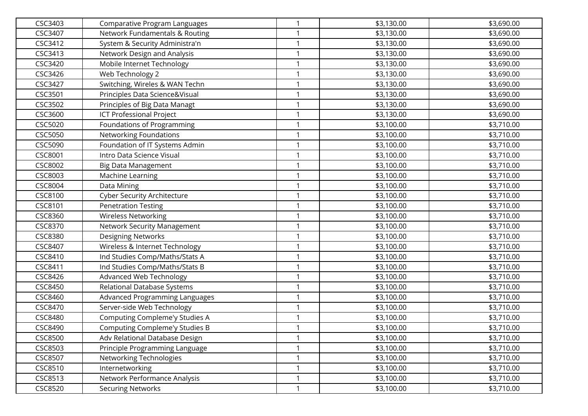| CSC3403        | Comparative Program Languages         |                         | \$3,130.00 | \$3,690.00 |
|----------------|---------------------------------------|-------------------------|------------|------------|
| CSC3407        | Network Fundamentals & Routing        |                         | \$3,130.00 | \$3,690.00 |
| CSC3412        | System & Security Administra'n        |                         | \$3,130.00 | \$3,690.00 |
| CSC3413        | Network Design and Analysis           | $\mathbf{\overline{1}}$ | \$3,130.00 | \$3,690.00 |
| CSC3420        | Mobile Internet Technology            |                         | \$3,130.00 | \$3,690.00 |
| CSC3426        | Web Technology 2                      |                         | \$3,130.00 | \$3,690.00 |
| CSC3427        | Switching, Wireles & WAN Techn        |                         | \$3,130.00 | \$3,690.00 |
| CSC3501        | Principles Data Science&Visual        |                         | \$3,130.00 | \$3,690.00 |
| CSC3502        | Principles of Big Data Managt         | $\mathbf{1}$            | \$3,130.00 | \$3,690.00 |
| CSC3600        | <b>ICT Professional Project</b>       |                         | \$3,130.00 | \$3,690.00 |
| CSC5020        | Foundations of Programming            | $\mathbf{\overline{1}}$ | \$3,100.00 | \$3,710.00 |
| CSC5050        | Networking Foundations                | $\overline{1}$          | \$3,100.00 | \$3,710.00 |
| CSC5090        | Foundation of IT Systems Admin        | $\mathbf{\overline{1}}$ | \$3,100.00 | \$3,710.00 |
| CSC8001        | Intro Data Science Visual             |                         | \$3,100.00 | \$3,710.00 |
| CSC8002        | Big Data Management                   |                         | \$3,100.00 | \$3,710.00 |
| CSC8003        | Machine Learning                      | $\mathbf{1}$            | \$3,100.00 | \$3,710.00 |
| CSC8004        | Data Mining                           |                         | \$3,100.00 | \$3,710.00 |
| CSC8100        | <b>Cyber Security Architecture</b>    | $\mathbf{1}$            | \$3,100.00 | \$3,710.00 |
| CSC8101        | <b>Penetration Testing</b>            | 1                       | \$3,100.00 | \$3,710.00 |
| CSC8360        | <b>Wireless Networking</b>            |                         | \$3,100.00 | \$3,710.00 |
| CSC8370        | <b>Network Security Management</b>    |                         | \$3,100.00 | \$3,710.00 |
| CSC8380        | <b>Designing Networks</b>             | 1                       | \$3,100.00 | \$3,710.00 |
| CSC8407        | Wireless & Internet Technology        | $\mathbf{1}$            | \$3,100.00 | \$3,710.00 |
| CSC8410        | Ind Studies Comp/Maths/Stats A        | 1                       | \$3,100.00 | \$3,710.00 |
| CSC8411        | Ind Studies Comp/Maths/Stats B        |                         | \$3,100.00 | \$3,710.00 |
| CSC8426        | Advanced Web Technology               | 1                       | \$3,100.00 | \$3,710.00 |
| CSC8450        | Relational Database Systems           | 1                       | \$3,100.00 | \$3,710.00 |
| CSC8460        | Advanced Programming Languages        | $\mathbf{1}$            | \$3,100.00 | \$3,710.00 |
| CSC8470        | Server-side Web Technology            |                         | \$3,100.00 | \$3,710.00 |
| CSC8480        | Computing Compleme'y Studies A        |                         | \$3,100.00 | \$3,710.00 |
| CSC8490        | <b>Computing Compleme'y Studies B</b> |                         | \$3,100.00 | \$3,710.00 |
| <b>CSC8500</b> | Adv Relational Database Design        | $\mathbf 1$             | \$3,100.00 | \$3,710.00 |
| CSC8503        | Principle Programming Language        |                         | \$3,100.00 | \$3,710.00 |
| CSC8507        | Networking Technologies               | $\mathbf{1}$            | \$3,100.00 | \$3,710.00 |
| CSC8510        | Internetworking                       | $\mathbf{1}$            | \$3,100.00 | \$3,710.00 |
| <b>CSC8513</b> | Network Performance Analysis          | 1                       | \$3,100.00 | \$3,710.00 |
| <b>CSC8520</b> | <b>Securing Networks</b>              | 1                       | \$3,100.00 | \$3,710.00 |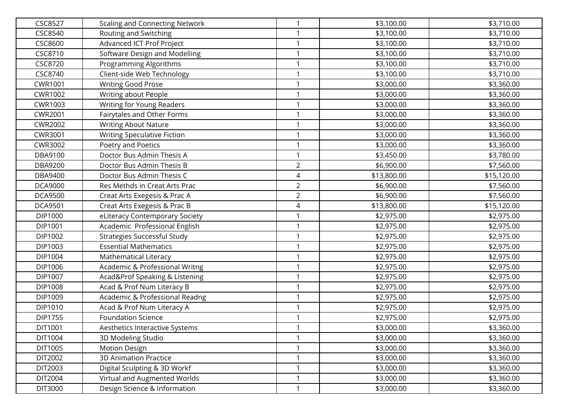| <b>CSC8527</b> | <b>Scaling and Connecting Network</b> |                | \$3,100.00  | \$3,710.00  |
|----------------|---------------------------------------|----------------|-------------|-------------|
| CSC8540        | Routing and Switching                 |                | \$3,100.00  | \$3,710.00  |
| CSC8600        | Advanced ICT Prof Project             |                | \$3,100.00  | \$3,710.00  |
| CSC8710        | Software Design and Modelling         | 1              | \$3,100.00  | \$3,710.00  |
| <b>CSC8720</b> | Programming Algorithms                |                | \$3,100.00  | \$3,710.00  |
| CSC8740        | Client-side Web Technology            |                | \$3,100.00  | \$3,710.00  |
| CWR1001        | <b>Writing Good Prose</b>             |                | \$3,000.00  | \$3,360.00  |
| <b>CWR1002</b> | Writing about People                  |                | \$3,000.00  | \$3,360.00  |
| CWR1003        | Writing for Young Readers             |                | \$3,000.00  | \$3,360.00  |
| <b>CWR2001</b> | Fairytales and Other Forms            |                | \$3,000.00  | \$3,360.00  |
| <b>CWR2002</b> | <b>Writing About Nature</b>           |                | \$3,000.00  | \$3,360.00  |
| <b>CWR3001</b> | <b>Writing Speculative Fiction</b>    |                | \$3,000.00  | \$3,360.00  |
| CWR3002        | Poetry and Poetics                    |                | \$3,000.00  | \$3,360.00  |
| DBA9100        | Doctor Bus Admin Thesis A             |                | \$3,450.00  | \$3,780.00  |
| DBA9200        | Doctor Bus Admin Thesis B             | $\overline{2}$ | \$6,900.00  | \$7,560.00  |
| DBA9400        | Doctor Bus Admin Thesis C             | 4              | \$13,800.00 | \$15,120.00 |
| <b>DCA9000</b> | Res Methds in Creat Arts Prac         | $\overline{2}$ | \$6,900.00  | \$7,560.00  |
| <b>DCA9500</b> | Creat Arts Exegesis & Prac A          | $\overline{2}$ | \$6,900.00  | \$7,560.00  |
| <b>DCA9501</b> | Creat Arts Exegesis & Prac B          | 4              | \$13,800.00 | \$15,120.00 |
| DIP1000        | eLiteracy Contemporary Society        |                | \$2,975.00  | \$2,975.00  |
| DIP1001        | Academic Professional English         |                | \$2,975.00  | \$2,975.00  |
| DIP1002        | <b>Strategies Successful Study</b>    |                | \$2,975.00  | \$2,975.00  |
| DIP1003        | <b>Essential Mathematics</b>          | 1              | \$2,975.00  | \$2,975.00  |
| DIP1004        | Mathematical Literacy                 |                | \$2,975.00  | \$2,975.00  |
| DIP1006        | Academic & Professional Writng        |                | \$2,975.00  | \$2,975.00  |
| DIP1007        | Acad&Prof Speaking & Listening        |                | \$2,975.00  | \$2,975.00  |
| DIP1008        | Acad & Prof Num Literacy B            |                | \$2,975.00  | \$2,975.00  |
| DIP1009        | Academic & Professional Readng        |                | \$2,975.00  | \$2,975.00  |
| DIP1010        | Acad & Prof Num Literacy A            |                | \$2,975.00  | \$2,975.00  |
| DIP1755        | <b>Foundation Science</b>             |                | \$2,975.00  | \$2,975.00  |
| DIT1001        | Aesthetics Interactive Systems        |                | \$3,000.00  | \$3,360.00  |
| DIT1004        | 3D Modeling Studio                    | 1              | \$3,000.00  | \$3,360.00  |
| DIT1005        | <b>Motion Design</b>                  |                | \$3,000.00  | \$3,360.00  |
| DIT2002        | <b>3D Animation Practice</b>          |                | \$3,000.00  | \$3,360.00  |
| DIT2003        | Digital Sculpting & 3D Workf          | 1              | \$3,000.00  | \$3,360.00  |
| DIT2004        | Virtual and Augmented Worlds          |                | \$3,000.00  | \$3,360.00  |
| DIT3000        | Design Science & Information          | 1              | \$3,000.00  | \$3,360.00  |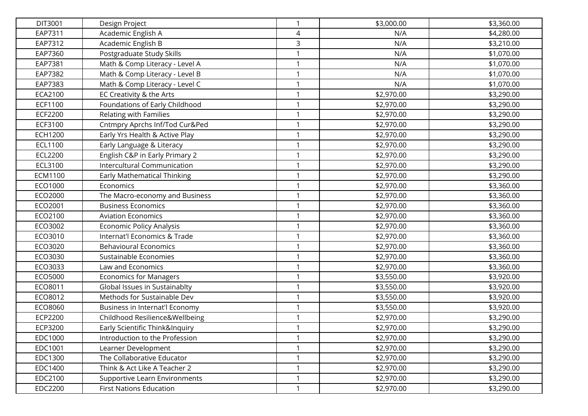| DIT3001        | Design Project                     | $\mathbf{1}$ | \$3,000.00 | \$3,360.00 |
|----------------|------------------------------------|--------------|------------|------------|
| EAP7311        | Academic English A                 | 4            | N/A        | \$4,280.00 |
| EAP7312        | Academic English B                 | 3            | N/A        | \$3,210.00 |
| EAP7360        | Postgraduate Study Skills          | 1            | N/A        | \$1,070.00 |
| EAP7381        | Math & Comp Literacy - Level A     | 1            | N/A        | \$1,070.00 |
| EAP7382        | Math & Comp Literacy - Level B     | 1            | N/A        | \$1,070.00 |
| EAP7383        | Math & Comp Literacy - Level C     | 1            | N/A        | \$1,070.00 |
| ECA2100        | EC Creativity & the Arts           | 1            | \$2,970.00 | \$3,290.00 |
| ECF1100        | Foundations of Early Childhood     | 1            | \$2,970.00 | \$3,290.00 |
| <b>ECF2200</b> | Relating with Families             | 1            | \$2,970.00 | \$3,290.00 |
| ECF3100        | Cntmpry Aprchs Inf/Tod Cur&Ped     | 1            | \$2,970.00 | \$3,290.00 |
| <b>ECH1200</b> | Early Yrs Health & Active Play     | 1            | \$2,970.00 | \$3,290.00 |
| ECL1100        | Early Language & Literacy          | $\mathbf{1}$ | \$2,970.00 | \$3,290.00 |
| <b>ECL2200</b> | English C&P in Early Primary 2     | 1            | \$2,970.00 | \$3,290.00 |
| ECL3100        | Intercultural Communication        | 1            | \$2,970.00 | \$3,290.00 |
| ECM1100        | <b>Early Mathematical Thinking</b> | 1            | \$2,970.00 | \$3,290.00 |
| ECO1000        | Economics                          | 1            | \$2,970.00 | \$3,360.00 |
| ECO2000        | The Macro-economy and Business     | 1            | \$2,970.00 | \$3,360.00 |
| ECO2001        | <b>Business Economics</b>          | 1            | \$2,970.00 | \$3,360.00 |
| ECO2100        | <b>Aviation Economics</b>          | 1            | \$2,970.00 | \$3,360.00 |
| ECO3002        | Economic Policy Analysis           | 1            | \$2,970.00 | \$3,360.00 |
| ECO3010        | Internat'l Economics & Trade       | 1            | \$2,970.00 | \$3,360.00 |
| ECO3020        | <b>Behavioural Economics</b>       | 1            | \$2,970.00 | \$3,360.00 |
| ECO3030        | Sustainable Economies              | 1            | \$2,970.00 | \$3,360.00 |
| ECO3033        | Law and Economics                  | 1            | \$2,970.00 | \$3,360.00 |
| ECO5000        | <b>Economics for Managers</b>      | 1            | \$3,550.00 | \$3,920.00 |
| ECO8011        | Global Issues in Sustainablty      | 1            | \$3,550.00 | \$3,920.00 |
| ECO8012        | Methods for Sustainable Dev        | 1            | \$3,550.00 | \$3,920.00 |
| ECO8060        | Business in Internat'l Economy     | 1            | \$3,550.00 | \$3,920.00 |
| ECP2200        | Childhood Resilience&Wellbeing     | 1            | \$2,970.00 | \$3,290.00 |
| ECP3200        | Early Scientific Think&Inquiry     |              | \$2,970.00 | \$3,290.00 |
| EDC1000        | Introduction to the Profession     | 1            | \$2,970.00 | \$3,290.00 |
| EDC1001        | Learner Development                | 1            | \$2,970.00 | \$3,290.00 |
| EDC1300        | The Collaborative Educator         | 1            | \$2,970.00 | \$3,290.00 |
| EDC1400        | Think & Act Like A Teacher 2       | $\mathbf{1}$ | \$2,970.00 | \$3,290.00 |
| EDC2100        | Supportive Learn Environments      | 1            | \$2,970.00 | \$3,290.00 |
| EDC2200        | <b>First Nations Education</b>     | 1            | \$2,970.00 | \$3,290.00 |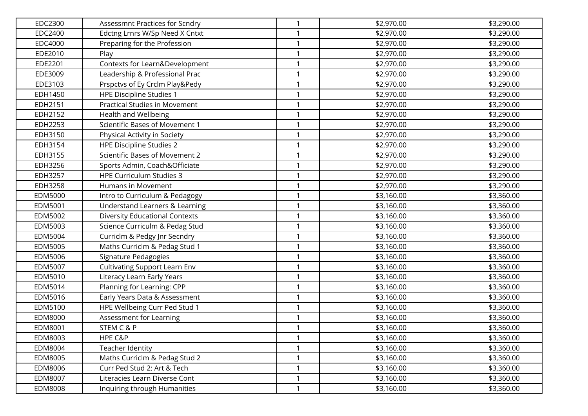| EDC2300 | Assessmnt Practices for Scndry        | 1            | \$2,970.00 | \$3,290.00 |
|---------|---------------------------------------|--------------|------------|------------|
| EDC2400 | Edctng Lrnrs W/Sp Need X Cntxt        |              | \$2,970.00 | \$3,290.00 |
| EDC4000 | Preparing for the Profession          | 1            | \$2,970.00 | \$3,290.00 |
| EDE2010 | Play                                  | 1            | \$2,970.00 | \$3,290.00 |
| EDE2201 | Contexts for Learn&Development        | 1            | \$2,970.00 | \$3,290.00 |
| EDE3009 | Leadership & Professional Prac        | 1            | \$2,970.00 | \$3,290.00 |
| EDE3103 | Prspctvs of Ey Crclm Play&Pedy        | 1            | \$2,970.00 | \$3,290.00 |
| EDH1450 | <b>HPE Discipline Studies 1</b>       | 1            | \$2,970.00 | \$3,290.00 |
| EDH2151 | <b>Practical Studies in Movement</b>  | 1            | \$2,970.00 | \$3,290.00 |
| EDH2152 | Health and Wellbeing                  | 1            | \$2,970.00 | \$3,290.00 |
| EDH2253 | Scientific Bases of Movement 1        | 1            | \$2,970.00 | \$3,290.00 |
| EDH3150 | Physical Activity in Society          | 1            | \$2,970.00 | \$3,290.00 |
| EDH3154 | <b>HPE Discipline Studies 2</b>       | $\mathbf{1}$ | \$2,970.00 | \$3,290.00 |
| EDH3155 | Scientific Bases of Movement 2        | 1            | \$2,970.00 | \$3,290.00 |
| EDH3256 | Sports Admin, Coach&Officiate         | 1            | \$2,970.00 | \$3,290.00 |
| EDH3257 | <b>HPE Curriculum Studies 3</b>       | 1            | \$2,970.00 | \$3,290.00 |
| EDH3258 | Humans in Movement                    | 1            | \$2,970.00 | \$3,290.00 |
| EDM5000 | Intro to Curriculum & Pedagogy        | 1            | \$3,160.00 | \$3,360.00 |
| EDM5001 | Understand Learners & Learning        | 1            | \$3,160.00 | \$3,360.00 |
| EDM5002 | <b>Diversity Educational Contexts</b> | 1            | \$3,160.00 | \$3,360.00 |
| EDM5003 | Science Curriculm & Pedag Stud        | 1            | \$3,160.00 | \$3,360.00 |
| EDM5004 | Curriclm & Pedgy Jnr Secndry          | $\mathbf{1}$ | \$3,160.00 | \$3,360.00 |
| EDM5005 | Maths Curriclm & Pedag Stud 1         | 1            | \$3,160.00 | \$3,360.00 |
| EDM5006 | Signature Pedagogies                  | 1            | \$3,160.00 | \$3,360.00 |
| EDM5007 | <b>Cultivating Support Learn Env</b>  | 1            | \$3,160.00 | \$3,360.00 |
| EDM5010 | Literacy Learn Early Years            | 1            | \$3,160.00 | \$3,360.00 |
| EDM5014 | Planning for Learning: CPP            | 1            | \$3,160.00 | \$3,360.00 |
| EDM5016 | Early Years Data & Assessment         | 1            | \$3,160.00 | \$3,360.00 |
| EDM5100 | HPE Wellbeing Curr Ped Stud 1         | 1            | \$3,160.00 | \$3,360.00 |
| EDM8000 | Assessment for Learning               | 1            | \$3,160.00 | \$3,360.00 |
| EDM8001 | STEM C & P                            |              | \$3,160.00 | \$3,360.00 |
| EDM8003 | HPE C&P                               | 1            | \$3,160.00 | \$3,360.00 |
| EDM8004 | Teacher Identity                      | 1            | \$3,160.00 | \$3,360.00 |
| EDM8005 | Maths Curriclm & Pedag Stud 2         | 1            | \$3,160.00 | \$3,360.00 |
| EDM8006 | Curr Ped Stud 2: Art & Tech           | $\mathbf{1}$ | \$3,160.00 | \$3,360.00 |
| EDM8007 | Literacies Learn Diverse Cont         | 1            | \$3,160.00 | \$3,360.00 |
| EDM8008 | Inquiring through Humanities          | 1            | \$3,160.00 | \$3,360.00 |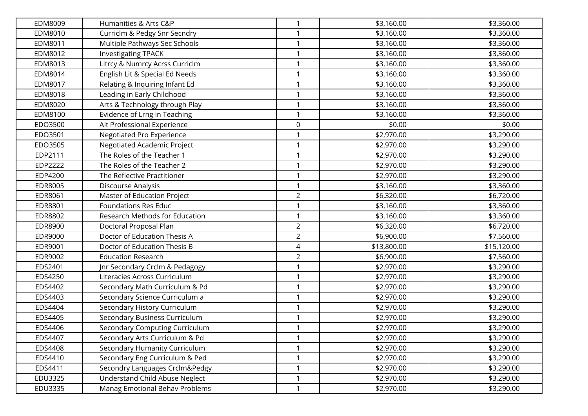| EDM8009        | Humanities & Arts C&P          | $\mathbf{1}$   | \$3,160.00  | \$3,360.00  |
|----------------|--------------------------------|----------------|-------------|-------------|
| EDM8010        | Curriclm & Pedgy Snr Secndry   |                | \$3,160.00  | \$3,360.00  |
| EDM8011        | Multiple Pathways Sec Schools  | 1              | \$3,160.00  | \$3,360.00  |
| EDM8012        | <b>Investigating TPACK</b>     | $\mathbf{1}$   | \$3,160.00  | \$3,360.00  |
| EDM8013        | Litrcy & Numrcy Acrss Curriclm | 1              | \$3,160.00  | \$3,360.00  |
| EDM8014        | English Lit & Special Ed Needs | 1              | \$3,160.00  | \$3,360.00  |
| EDM8017        | Relating & Inquiring Infant Ed | 1              | \$3,160.00  | \$3,360.00  |
| EDM8018        | Leading in Early Childhood     | 1              | \$3,160.00  | \$3,360.00  |
| EDM8020        | Arts & Technology through Play | 1              | \$3,160.00  | \$3,360.00  |
| EDM8100        | Evidence of Lrng in Teaching   |                | \$3,160.00  | \$3,360.00  |
| EDO3500        | Alt Professional Experience    | 0              | \$0.00      | \$0.00      |
| EDO3501        | Negotiated Pro Experience      | 1              | \$2,970.00  | \$3,290.00  |
| EDO3505        | Negotiated Academic Project    | 1              | \$2,970.00  | \$3,290.00  |
| EDP2111        | The Roles of the Teacher 1     | 1              | \$2,970.00  | \$3,290.00  |
| EDP2222        | The Roles of the Teacher 2     | 1              | \$2,970.00  | \$3,290.00  |
| EDP4200        | The Reflective Practitioner    | 1              | \$2,970.00  | \$3,290.00  |
| <b>EDR8005</b> | Discourse Analysis             | $\mathbf{1}$   | \$3,160.00  | \$3,360.00  |
| EDR8061        | Master of Education Project    | $\overline{a}$ | \$6,320.00  | \$6,720.00  |
| EDR8801        | <b>Foundations Res Educ</b>    |                | \$3,160.00  | \$3,360.00  |
| EDR8802        | Research Methods for Education | 1              | \$3,160.00  | \$3,360.00  |
| EDR8900        | Doctoral Proposal Plan         | $\overline{2}$ | \$6,320.00  | \$6,720.00  |
| EDR9000        | Doctor of Education Thesis A   | $\overline{2}$ | \$6,900.00  | \$7,560.00  |
| EDR9001        | Doctor of Education Thesis B   | 4              | \$13,800.00 | \$15,120.00 |
| EDR9002        | <b>Education Research</b>      | $\overline{2}$ | \$6,900.00  | \$7,560.00  |
| EDS2401        | Jnr Secondary Crclm & Pedagogy | 1              | \$2,970.00  | \$3,290.00  |
| EDS4250        | Literacies Across Curriculum   | 1              | \$2,970.00  | \$3,290.00  |
| EDS4402        | Secondary Math Curriculum & Pd | 1              | \$2,970.00  | \$3,290.00  |
| EDS4403        | Secondary Science Curriculum a | 1              | \$2,970.00  | \$3,290.00  |
| EDS4404        | Secondary History Curriculum   |                | \$2,970.00  | \$3,290.00  |
| EDS4405        | Secondary Business Curriculum  | $\mathbf{1}$   | \$2,970.00  | \$3,290.00  |
| EDS4406        | Secondary Computing Curriculum |                | \$2,970.00  | \$3,290.00  |
| EDS4407        | Secondary Arts Curriculum & Pd | 1              | \$2,970.00  | \$3,290.00  |
| EDS4408        | Secondary Humanity Curriculum  |                | \$2,970.00  | \$3,290.00  |
| EDS4410        | Secondary Eng Curriculum & Ped | 1              | \$2,970.00  | \$3,290.00  |
| EDS4411        | Secondry Languages Crclm&Pedgy | 1              | \$2,970.00  | \$3,290.00  |
| EDU3325        | Understand Child Abuse Neglect |                | \$2,970.00  | \$3,290.00  |
| EDU3335        | Manag Emotional Behav Problems | $\mathbf{1}$   | \$2,970.00  | \$3,290.00  |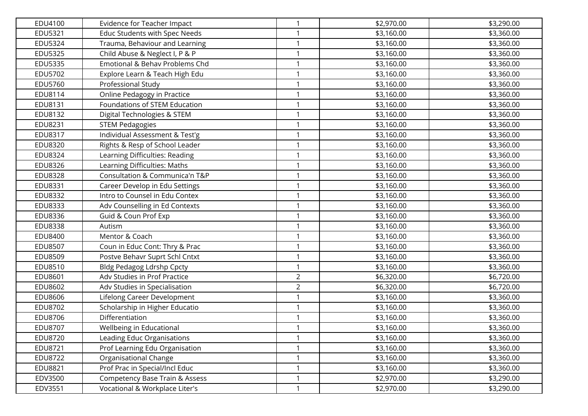| EDU4100        | Evidence for Teacher Impact               | 1              | \$2,970.00 | \$3,290.00 |
|----------------|-------------------------------------------|----------------|------------|------------|
| EDU5321        | <b>Educ Students with Spec Needs</b>      |                | \$3,160.00 | \$3,360.00 |
| EDU5324        | Trauma, Behaviour and Learning            | 1              | \$3,160.00 | \$3,360.00 |
| <b>EDU5325</b> | Child Abuse & Neglect I, P & P            | 1              | \$3,160.00 | \$3,360.00 |
| EDU5335        | Emotional & Behav Problems Chd            | 1              | \$3,160.00 | \$3,360.00 |
| EDU5702        | Explore Learn & Teach High Edu            | 1              | \$3,160.00 | \$3,360.00 |
| EDU5760        | Professional Study                        | 1              | \$3,160.00 | \$3,360.00 |
| EDU8114        | Online Pedagogy in Practice               | 1              | \$3,160.00 | \$3,360.00 |
| EDU8131        | Foundations of STEM Education             | 1              | \$3,160.00 | \$3,360.00 |
| EDU8132        | Digital Technologies & STEM               | 1              | \$3,160.00 | \$3,360.00 |
| EDU8231        | <b>STEM Pedagogies</b>                    | 1              | \$3,160.00 | \$3,360.00 |
| EDU8317        | Individual Assessment & Test'g            | 1              | \$3,160.00 | \$3,360.00 |
| EDU8320        | Rights & Resp of School Leader            | $\mathbf{1}$   | \$3,160.00 | \$3,360.00 |
| <b>EDU8324</b> | Learning Difficulties: Reading            | 1              | \$3,160.00 | \$3,360.00 |
| EDU8326        | Learning Difficulties: Maths              | 1              | \$3,160.00 | \$3,360.00 |
| <b>EDU8328</b> | Consultation & Communica'n T&P            | 1              | \$3,160.00 | \$3,360.00 |
| EDU8331        | Career Develop in Edu Settings            | 1              | \$3,160.00 | \$3,360.00 |
| <b>EDU8332</b> | Intro to Counsel in Edu Contex            | 1              | \$3,160.00 | \$3,360.00 |
| EDU8333        | Adv Counselling in Ed Contexts            | 1              | \$3,160.00 | \$3,360.00 |
| EDU8336        | Guid & Coun Prof Exp                      | 1              | \$3,160.00 | \$3,360.00 |
| <b>EDU8338</b> | Autism                                    | 1              | \$3,160.00 | \$3,360.00 |
| EDU8400        | Mentor & Coach                            | $\mathbf{1}$   | \$3,160.00 | \$3,360.00 |
| <b>EDU8507</b> | Coun in Educ Cont: Thry & Prac            | 1              | \$3,160.00 | \$3,360.00 |
| EDU8509        | Postve Behavr Suprt Schl Cntxt            | 1              | \$3,160.00 | \$3,360.00 |
| EDU8510        | Bldg Pedagog Ldrshp Cpcty                 | 1              | \$3,160.00 | \$3,360.00 |
| EDU8601        | Adv Studies in Prof Practice              | $\overline{2}$ | \$6,320.00 | \$6,720.00 |
| EDU8602        | Adv Studies in Specialisation             | $\overline{2}$ | \$6,320.00 | \$6,720.00 |
| EDU8606        | Lifelong Career Development               | 1              | \$3,160.00 | \$3,360.00 |
| EDU8702        | Scholarship in Higher Educatio            | 1              | \$3,160.00 | \$3,360.00 |
| EDU8706        | Differentiation                           | 1              | \$3,160.00 | \$3,360.00 |
| <b>EDU8707</b> | Wellbeing in Educational                  |                | \$3,160.00 | \$3,360.00 |
| <b>EDU8720</b> | Leading Educ Organisations                | $\mathbf{1}$   | \$3,160.00 | \$3,360.00 |
| EDU8721        | Prof Learning Edu Organisation            | 1              | \$3,160.00 | \$3,360.00 |
| <b>EDU8722</b> | Organisational Change                     | 1              | \$3,160.00 | \$3,360.00 |
| EDU8821        | Prof Prac in Special/Incl Educ            | $\mathbf{1}$   | \$3,160.00 | \$3,360.00 |
| EDV3500        | <b>Competency Base Train &amp; Assess</b> | 1              | \$2,970.00 | \$3,290.00 |
| EDV3551        | Vocational & Workplace Liter's            | 1              | \$2,970.00 | \$3,290.00 |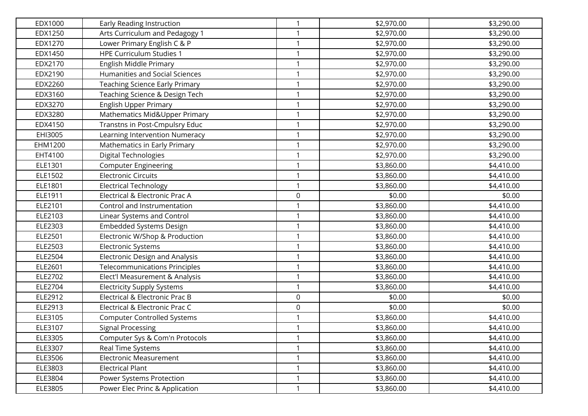| EDX1000 | Early Reading Instruction             | $\mathbf{1}$ | \$2,970.00 | \$3,290.00 |
|---------|---------------------------------------|--------------|------------|------------|
| EDX1250 | Arts Curriculum and Pedagogy 1        |              | \$2,970.00 | \$3,290.00 |
| EDX1270 | Lower Primary English C & P           | $\mathbf{1}$ | \$2,970.00 | \$3,290.00 |
| EDX1450 | <b>HPE Curriculum Studies 1</b>       | $\mathbf{1}$ | \$2,970.00 | \$3,290.00 |
| EDX2170 | English Middle Primary                | 1            | \$2,970.00 | \$3,290.00 |
| EDX2190 | Humanities and Social Sciences        | 1            | \$2,970.00 | \$3,290.00 |
| EDX2260 | <b>Teaching Science Early Primary</b> | 1            | \$2,970.00 | \$3,290.00 |
| EDX3160 | Teaching Science & Design Tech        | 1            | \$2,970.00 | \$3,290.00 |
| EDX3270 | <b>English Upper Primary</b>          | 1            | \$2,970.00 | \$3,290.00 |
| EDX3280 | Mathematics Mid&Upper Primary         | 1            | \$2,970.00 | \$3,290.00 |
| EDX4150 | Transtns in Post-Cmpulsry Educ        | 1            | \$2,970.00 | \$3,290.00 |
| EHI3005 | Learning Intervention Numeracy        | 1            | \$2,970.00 | \$3,290.00 |
| EHM1200 | Mathematics in Early Primary          | 1            | \$2,970.00 | \$3,290.00 |
| EHT4100 | Digital Technologies                  | 1            | \$2,970.00 | \$3,290.00 |
| ELE1301 | <b>Computer Engineering</b>           | 1            | \$3,860.00 | \$4,410.00 |
| ELE1502 | <b>Electronic Circuits</b>            | $\mathbf{1}$ | \$3,860.00 | \$4,410.00 |
| ELE1801 | <b>Electrical Technology</b>          | 1            | \$3,860.00 | \$4,410.00 |
| ELE1911 | Electrical & Electronic Prac A        | 0            | \$0.00     | \$0.00     |
| ELE2101 | Control and Instrumentation           | 1            | \$3,860.00 | \$4,410.00 |
| ELE2103 | Linear Systems and Control            | 1            | \$3,860.00 | \$4,410.00 |
| ELE2303 | <b>Embedded Systems Design</b>        | 1            | \$3,860.00 | \$4,410.00 |
| ELE2501 | Electronic W/Shop & Production        | $\mathbf{1}$ | \$3,860.00 | \$4,410.00 |
| ELE2503 | <b>Electronic Systems</b>             | $\mathbf{1}$ | \$3,860.00 | \$4,410.00 |
| ELE2504 | <b>Electronic Design and Analysis</b> | 1            | \$3,860.00 | \$4,410.00 |
| ELE2601 | <b>Telecommunications Principles</b>  | 1            | \$3,860.00 | \$4,410.00 |
| ELE2702 | Elect'l Measurement & Analysis        | 1            | \$3,860.00 | \$4,410.00 |
| ELE2704 | <b>Electricity Supply Systems</b>     | 1            | \$3,860.00 | \$4,410.00 |
| ELE2912 | Electrical & Electronic Prac B        | 0            | \$0.00     | \$0.00     |
| ELE2913 | Electrical & Electronic Prac C        | 0            | \$0.00     | \$0.00     |
| ELE3105 | <b>Computer Controlled Systems</b>    | 1            | \$3,860.00 | \$4,410.00 |
| ELE3107 | <b>Signal Processing</b>              |              | \$3,860.00 | \$4,410.00 |
| ELE3305 | Computer Sys & Com'n Protocols        | 1            | \$3,860.00 | \$4,410.00 |
| ELE3307 | <b>Real Time Systems</b>              |              | \$3,860.00 | \$4,410.00 |
| ELE3506 | Electronic Measurement                | 1            | \$3,860.00 | \$4,410.00 |
| ELE3803 | <b>Electrical Plant</b>               | $\mathbf{1}$ | \$3,860.00 | \$4,410.00 |
| ELE3804 | Power Systems Protection              | 1            | \$3,860.00 | \$4,410.00 |
| ELE3805 | Power Elec Princ & Application        | $\mathbf{1}$ | \$3,860.00 | \$4,410.00 |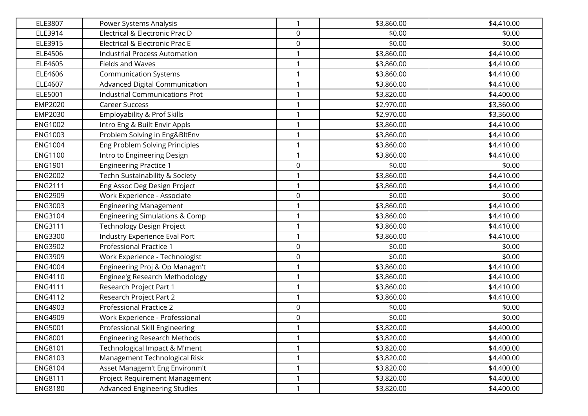| ELE3807        | Power Systems Analysis                    | $\mathbf{1}$ | \$3,860.00 | \$4,410.00 |
|----------------|-------------------------------------------|--------------|------------|------------|
| ELE3914        | Electrical & Electronic Prac D            | 0            | \$0.00     | \$0.00     |
| ELE3915        | Electrical & Electronic Prac E            | 0            | \$0.00     | \$0.00     |
| ELE4506        | <b>Industrial Process Automation</b>      | $\mathbf{1}$ | \$3,860.00 | \$4,410.00 |
| ELE4605        | <b>Fields and Waves</b>                   | 1            | \$3,860.00 | \$4,410.00 |
| ELE4606        | <b>Communication Systems</b>              | $\mathbf{1}$ | \$3,860.00 | \$4,410.00 |
| ELE4607        | Advanced Digital Communication            | 1            | \$3,860.00 | \$4,410.00 |
| ELE5001        | <b>Industrial Communications Prot</b>     | 1            | \$3,820.00 | \$4,400.00 |
| EMP2020        | <b>Career Success</b>                     | $\mathbf{1}$ | \$2,970.00 | \$3,360.00 |
| EMP2030        | Employability & Prof Skills               | 1            | \$2,970.00 | \$3,360.00 |
| <b>ENG1002</b> | Intro Eng & Built Envir Appls             | $\mathbf{1}$ | \$3,860.00 | \$4,410.00 |
| <b>ENG1003</b> | Problem Solving in Eng&BltEnv             | $\mathbf{1}$ | \$3,860.00 | \$4,410.00 |
| <b>ENG1004</b> | Eng Problem Solving Principles            | $\mathbf{1}$ | \$3,860.00 | \$4,410.00 |
| <b>ENG1100</b> | Intro to Engineering Design               | 1            | \$3,860.00 | \$4,410.00 |
| <b>ENG1901</b> | <b>Engineering Practice 1</b>             | 0            | \$0.00     | \$0.00     |
| <b>ENG2002</b> | Techn Sustainability & Society            | $\mathbf{1}$ | \$3,860.00 | \$4,410.00 |
| <b>ENG2111</b> | Eng Assoc Deg Design Project              | 1            | \$3,860.00 | \$4,410.00 |
| <b>ENG2909</b> | Work Experience - Associate               | 0            | \$0.00     | \$0.00     |
| <b>ENG3003</b> | <b>Engineering Management</b>             | 1            | \$3,860.00 | \$4,410.00 |
| ENG3104        | <b>Engineering Simulations &amp; Comp</b> | 1            | \$3,860.00 | \$4,410.00 |
| <b>ENG3111</b> | Technology Design Project                 | 1            | \$3,860.00 | \$4,410.00 |
| <b>ENG3300</b> | Industry Experience Eval Port             | 1            | \$3,860.00 | \$4,410.00 |
| <b>ENG3902</b> | Professional Practice 1                   | 0            | \$0.00     | \$0.00     |
| <b>ENG3909</b> | Work Experience - Technologist            | 0            | \$0.00     | \$0.00     |
| <b>ENG4004</b> | Engineering Proj & Op Managm't            | $\mathbf{1}$ | \$3,860.00 | \$4,410.00 |
| <b>ENG4110</b> | Enginee'g Research Methodology            | 1            | \$3,860.00 | \$4,410.00 |
| <b>ENG4111</b> | Research Project Part 1                   | 1            | \$3,860.00 | \$4,410.00 |
| <b>ENG4112</b> | Research Project Part 2                   | $\mathbf{1}$ | \$3,860.00 | \$4,410.00 |
| <b>ENG4903</b> | <b>Professional Practice 2</b>            | 0            | \$0.00     | \$0.00     |
| <b>ENG4909</b> | Work Experience - Professional            | 0            | \$0.00     | \$0.00     |
| <b>ENG5001</b> | Professional Skill Engineering            | $\mathbf{1}$ | \$3,820.00 | \$4,400.00 |
| <b>ENG8001</b> | <b>Engineering Research Methods</b>       | $\mathbf{1}$ | \$3,820.00 | \$4,400.00 |
| <b>ENG8101</b> | Technological Impact & M'ment             | 1            | \$3,820.00 | \$4,400.00 |
| ENG8103        | Management Technological Risk             | $\mathbf{1}$ | \$3,820.00 | \$4,400.00 |
| ENG8104        | Asset Managem't Eng Environm't            | $\mathbf{1}$ | \$3,820.00 | \$4,400.00 |
| <b>ENG8111</b> | Project Requirement Management            | 1            | \$3,820.00 | \$4,400.00 |
| <b>ENG8180</b> | Advanced Engineering Studies              | $\mathbf{1}$ | \$3,820.00 | \$4,400.00 |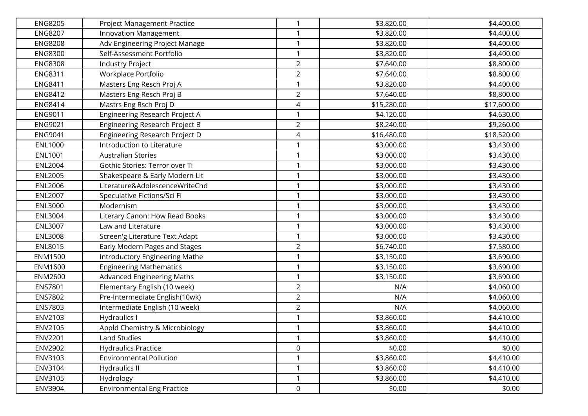| <b>ENG8205</b> | Project Management Practice           | $\mathbf{1}$   | \$3,820.00  | \$4,400.00  |
|----------------|---------------------------------------|----------------|-------------|-------------|
| <b>ENG8207</b> | <b>Innovation Management</b>          | 1              | \$3,820.00  | \$4,400.00  |
| <b>ENG8208</b> | Adv Engineering Project Manage        | 1              | \$3,820.00  | \$4,400.00  |
| <b>ENG8300</b> | Self-Assessment Portfolio             | $\mathbf{1}$   | \$3,820.00  | \$4,400.00  |
| <b>ENG8308</b> | <b>Industry Project</b>               | $\overline{2}$ | \$7,640.00  | \$8,800.00  |
| <b>ENG8311</b> | Workplace Portfolio                   | $\overline{2}$ | \$7,640.00  | \$8,800.00  |
| <b>ENG8411</b> | Masters Eng Resch Proj A              | $\mathbf{1}$   | \$3,820.00  | \$4,400.00  |
| <b>ENG8412</b> | Masters Eng Resch Proj B              | $\overline{2}$ | \$7,640.00  | \$8,800.00  |
| <b>ENG8414</b> | Mastrs Eng Rsch Proj D                | 4              | \$15,280.00 | \$17,600.00 |
| <b>ENG9011</b> | Engineering Research Project A        | 1              | \$4,120.00  | \$4,630.00  |
| <b>ENG9021</b> | <b>Engineering Research Project B</b> | $\overline{2}$ | \$8,240.00  | \$9,260.00  |
| <b>ENG9041</b> | Engineering Research Project D        | 4              | \$16,480.00 | \$18,520.00 |
| <b>ENL1000</b> | Introduction to Literature            | $\mathbf{1}$   | \$3,000.00  | \$3,430.00  |
| <b>ENL1001</b> | <b>Australian Stories</b>             | 1              | \$3,000.00  | \$3,430.00  |
| <b>ENL2004</b> | Gothic Stories: Terror over Ti        | 1              | \$3,000.00  | \$3,430.00  |
| <b>ENL2005</b> | Shakespeare & Early Modern Lit        | 1              | \$3,000.00  | \$3,430.00  |
| <b>ENL2006</b> | Literature&AdolescenceWriteChd        | $\mathbf{1}$   | \$3,000.00  | \$3,430.00  |
| <b>ENL2007</b> | Speculative Fictions/Sci Fi           | $\mathbf{1}$   | \$3,000.00  | \$3,430.00  |
| <b>ENL3000</b> | Modernism                             | 1              | \$3,000.00  | \$3,430.00  |
| <b>ENL3004</b> | Literary Canon: How Read Books        | $\mathbf{1}$   | \$3,000.00  | \$3,430.00  |
| <b>ENL3007</b> | Law and Literature                    | 1              | \$3,000.00  | \$3,430.00  |
| <b>ENL3008</b> | Screen'g Literature Text Adapt        | 1              | \$3,000.00  | \$3,430.00  |
| <b>ENL8015</b> | Early Modern Pages and Stages         | $\overline{2}$ | \$6,740.00  | \$7,580.00  |
| <b>ENM1500</b> | Introductory Engineering Mathe        | 1              | \$3,150.00  | \$3,690.00  |
| ENM1600        | <b>Engineering Mathematics</b>        | $\mathbf{1}$   | \$3,150.00  | \$3,690.00  |
| <b>ENM2600</b> | <b>Advanced Engineering Maths</b>     | $\mathbf{1}$   | \$3,150.00  | \$3,690.00  |
| <b>ENS7801</b> | Elementary English (10 week)          | $\overline{2}$ | N/A         | \$4,060.00  |
| ENS7802        | Pre-Intermediate English(10wk)        | $\overline{2}$ | N/A         | \$4,060.00  |
| ENS7803        | Intermediate English (10 week)        | $\overline{2}$ | N/A         | \$4,060.00  |
| ENV2103        | <b>Hydraulics I</b>                   | 1              | \$3,860.00  | \$4,410.00  |
| ENV2105        | Appld Chemistry & Microbiology        | 1              | \$3,860.00  | \$4,410.00  |
| <b>ENV2201</b> | <b>Land Studies</b>                   | $\mathbf{1}$   | \$3,860.00  | \$4,410.00  |
| <b>ENV2902</b> | <b>Hydraulics Practice</b>            | 0              | \$0.00      | \$0.00      |
| ENV3103        | <b>Environmental Pollution</b>        | 1              | \$3,860.00  | \$4,410.00  |
| ENV3104        | Hydraulics II                         | 1              | \$3,860.00  | \$4,410.00  |
| ENV3105        | Hydrology                             | 1              | \$3,860.00  | \$4,410.00  |
| ENV3904        | <b>Environmental Eng Practice</b>     | 0              | \$0.00      | \$0.00      |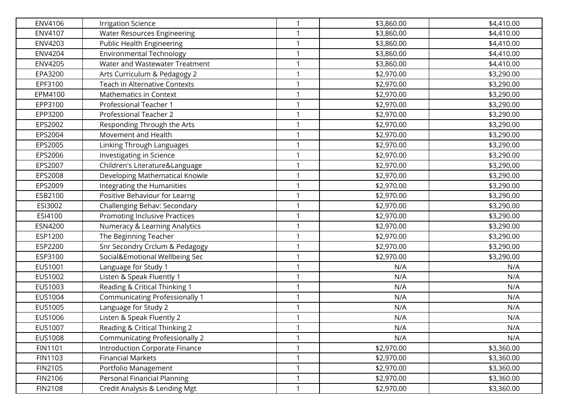| ENV4106        | <b>Irrigation Science</b>             | $\mathbf{1}$ | \$3,860.00 | \$4,410.00 |
|----------------|---------------------------------------|--------------|------------|------------|
| ENV4107        | <b>Water Resources Engineering</b>    |              | \$3,860.00 | \$4,410.00 |
| <b>ENV4203</b> | <b>Public Health Engineering</b>      | 1            | \$3,860.00 | \$4,410.00 |
| <b>ENV4204</b> | <b>Environmental Technology</b>       | $\mathbf{1}$ | \$3,860.00 | \$4,410.00 |
| <b>ENV4205</b> | Water and Wastewater Treatment        | 1            | \$3,860.00 | \$4,410.00 |
| EPA3200        | Arts Curriculum & Pedagogy 2          | 1            | \$2,970.00 | \$3,290.00 |
| EPF3100        | Teach in Alternative Contexts         | 1            | \$2,970.00 | \$3,290.00 |
| EPM4100        | Mathematics in Context                | 1            | \$2,970.00 | \$3,290.00 |
| EPP3100        | Professional Teacher 1                | 1            | \$2,970.00 | \$3,290.00 |
| EPP3200        | Professional Teacher 2                |              | \$2,970.00 | \$3,290.00 |
| EPS2002        | Responding Through the Arts           | $\mathbf{1}$ | \$2,970.00 | \$3,290.00 |
| EPS2004        | Movement and Health                   | 1            | \$2,970.00 | \$3,290.00 |
| EPS2005        | Linking Through Languages             | 1            | \$2,970.00 | \$3,290.00 |
| EPS2006        | Investigating in Science              | 1            | \$2,970.00 | \$3,290.00 |
| EPS2007        | Children's Literature&Language        | 1            | \$2,970.00 | \$3,290.00 |
| EPS2008        | Developing Mathematical Knowle        | 1            | \$2,970.00 | \$3,290.00 |
| EPS2009        | Integrating the Humanities            | 1            | \$2,970.00 | \$3,290.00 |
| ESB2100        | Positive Behaviour for Learng         | 1            | \$2,970.00 | \$3,290.00 |
| ESI3002        | Challenging Behav: Secondary          |              | \$2,970.00 | \$3,290.00 |
| ESI4100        | <b>Promoting Inclusive Practices</b>  | 1            | \$2,970.00 | \$3,290.00 |
| ESN4200        | Numeracy & Learning Analytics         | 1            | \$2,970.00 | \$3,290.00 |
| ESP1200        | The Beginning Teacher                 | 1            | \$2,970.00 | \$3,290.00 |
| ESP2200        | Snr Secondry Crclum & Pedagogy        | $\mathbf{1}$ | \$2,970.00 | \$3,290.00 |
| ESP3100        | Social&Emotional Wellbeing Sec        | 1            | \$2,970.00 | \$3,290.00 |
| EUS1001        | Language for Study 1                  | 1            | N/A        | N/A        |
| EUS1002        | Listen & Speak Fluently 1             | 1            | N/A        | N/A        |
| EUS1003        | Reading & Critical Thinking 1         | 1            | N/A        | N/A        |
| EUS1004        | <b>Communicating Professionally 1</b> | 1            | N/A        | N/A        |
| EUS1005        | Language for Study 2                  |              | N/A        | N/A        |
| EUS1006        | Listen & Speak Fluently 2             | $\mathbf{1}$ | N/A        | N/A        |
| EUS1007        | Reading & Critical Thinking 2         |              | N/A        | N/A        |
| EUS1008        | <b>Communicating Professionally 2</b> | 1            | N/A        | N/A        |
| FIN1101        | Introduction Corporate Finance        |              | \$2,970.00 | \$3,360.00 |
| FIN1103        | <b>Financial Markets</b>              | 1            | \$2,970.00 | \$3,360.00 |
| FIN2105        | Portfolio Management                  | 1            | \$2,970.00 | \$3,360.00 |
| FIN2106        | Personal Financial Planning           |              | \$2,970.00 | \$3,360.00 |
| FIN2108        | Credit Analysis & Lending Mgt         | $\mathbf{1}$ | \$2,970.00 | \$3,360.00 |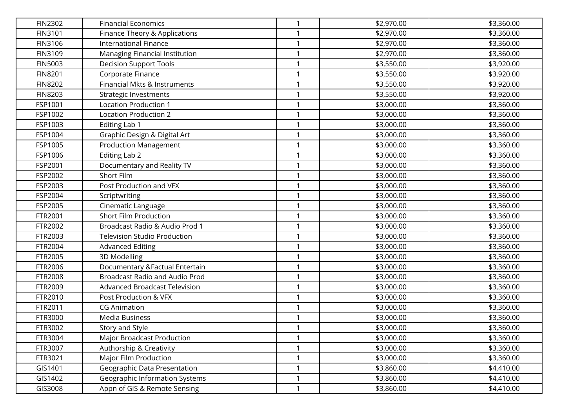| <b>FIN2302</b> | <b>Financial Economics</b>            | 1            | \$2,970.00 | \$3,360.00 |
|----------------|---------------------------------------|--------------|------------|------------|
| FIN3101        | Finance Theory & Applications         | 1            | \$2,970.00 | \$3,360.00 |
| FIN3106        | <b>International Finance</b>          | $\mathbf{1}$ | \$2,970.00 | \$3,360.00 |
| FIN3109        | Managing Financial Institution        | $\mathbf{1}$ | \$2,970.00 | \$3,360.00 |
| <b>FIN5003</b> | <b>Decision Support Tools</b>         | 1            | \$3,550.00 | \$3,920.00 |
| <b>FIN8201</b> | Corporate Finance                     | $\mathbf{1}$ | \$3,550.00 | \$3,920.00 |
| <b>FIN8202</b> | Financial Mkts & Instruments          | 1            | \$3,550.00 | \$3,920.00 |
| <b>FIN8203</b> | <b>Strategic Investments</b>          | 1            | \$3,550.00 | \$3,920.00 |
| FSP1001        | <b>Location Production 1</b>          | 1            | \$3,000.00 | \$3,360.00 |
| FSP1002        | Location Production 2                 | 1            | \$3,000.00 | \$3,360.00 |
| FSP1003        | Editing Lab 1                         | $\mathbf{1}$ | \$3,000.00 | \$3,360.00 |
| FSP1004        | Graphic Design & Digital Art          | 1            | \$3,000.00 | \$3,360.00 |
| FSP1005        | <b>Production Management</b>          | $\mathbf{1}$ | \$3,000.00 | \$3,360.00 |
| FSP1006        | Editing Lab 2                         | 1            | \$3,000.00 | \$3,360.00 |
| FSP2001        | Documentary and Reality TV            | 1            | \$3,000.00 | \$3,360.00 |
| FSP2002        | Short Film                            | $\mathbf{1}$ | \$3,000.00 | \$3,360.00 |
| FSP2003        | Post Production and VFX               | $\mathbf{1}$ | \$3,000.00 | \$3,360.00 |
| FSP2004        | Scriptwriting                         | $\mathbf{1}$ | \$3,000.00 | \$3,360.00 |
| FSP2005        | Cinematic Language                    | $\mathbf{1}$ | \$3,000.00 | \$3,360.00 |
| FTR2001        | <b>Short Film Production</b>          | $\mathbf{1}$ | \$3,000.00 | \$3,360.00 |
| FTR2002        | Broadcast Radio & Audio Prod 1        | 1            | \$3,000.00 | \$3,360.00 |
| FTR2003        | <b>Television Studio Production</b>   | $\mathbf{1}$ | \$3,000.00 | \$3,360.00 |
| FTR2004        | <b>Advanced Editing</b>               | $\mathbf{1}$ | \$3,000.00 | \$3,360.00 |
| FTR2005        | 3D Modelling                          | $\mathbf{1}$ | \$3,000.00 | \$3,360.00 |
| FTR2006        | Documentary & Factual Entertain       | $\mathbf{1}$ | \$3,000.00 | \$3,360.00 |
| FTR2008        | <b>Broadcast Radio and Audio Prod</b> | 1            | \$3,000.00 | \$3,360.00 |
| FTR2009        | Advanced Broadcast Television         | 1            | \$3,000.00 | \$3,360.00 |
| FTR2010        | Post Production & VFX                 | 1            | \$3,000.00 | \$3,360.00 |
| FTR2011        | <b>CG Animation</b>                   | 1            | \$3,000.00 | \$3,360.00 |
| FTR3000        | <b>Media Business</b>                 | $\mathbf{1}$ | \$3,000.00 | \$3,360.00 |
| FTR3002        | Story and Style                       | 1            | \$3,000.00 | \$3,360.00 |
| FTR3004        | Major Broadcast Production            | $\mathbf{1}$ | \$3,000.00 | \$3,360.00 |
| FTR3007        | Authorship & Creativity               | 1            | \$3,000.00 | \$3,360.00 |
| FTR3021        | Major Film Production                 | 1            | \$3,000.00 | \$3,360.00 |
| GIS1401        | Geographic Data Presentation          | $\mathbf{1}$ | \$3,860.00 | \$4,410.00 |
| GIS1402        | Geographic Information Systems        | 1            | \$3,860.00 | \$4,410.00 |
| GIS3008        | Appn of GIS & Remote Sensing          | $\mathbf{1}$ | \$3,860.00 | \$4,410.00 |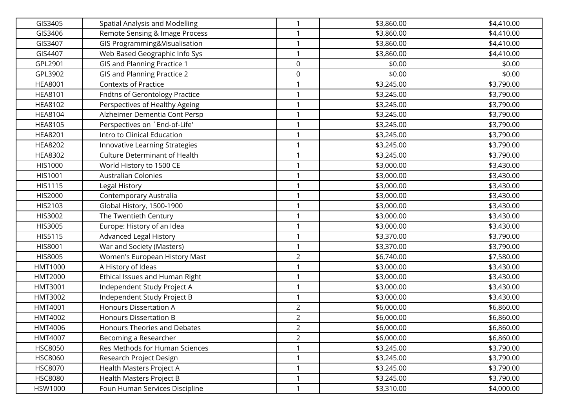| GIS3405        | Spatial Analysis and Modelling        | 1              | \$3,860.00 | \$4,410.00 |
|----------------|---------------------------------------|----------------|------------|------------|
| GIS3406        | Remote Sensing & Image Process        |                | \$3,860.00 | \$4,410.00 |
| GIS3407        | GIS Programming&Visualisation         | $\mathbf{1}$   | \$3,860.00 | \$4,410.00 |
| GIS4407        | Web Based Geographic Info Sys         | $\mathbf{1}$   | \$3,860.00 | \$4,410.00 |
| GPL2901        | <b>GIS and Planning Practice 1</b>    | 0              | \$0.00     | \$0.00     |
| GPL3902        | GIS and Planning Practice 2           | 0              | \$0.00     | \$0.00     |
| <b>HEA8001</b> | <b>Contexts of Practice</b>           |                | \$3,245.00 | \$3,790.00 |
| <b>HEA8101</b> | <b>Fndtns of Gerontology Practice</b> | 1              | \$3,245.00 | \$3,790.00 |
| <b>HEA8102</b> | Perspectives of Healthy Ageing        | 1              | \$3,245.00 | \$3,790.00 |
| <b>HEA8104</b> | Alzheimer Dementia Cont Persp         | 1              | \$3,245.00 | \$3,790.00 |
| <b>HEA8105</b> | Perspectives on `End-of-Life'         | 1              | \$3,245.00 | \$3,790.00 |
| <b>HEA8201</b> | Intro to Clinical Education           | 1              | \$3,245.00 | \$3,790.00 |
| <b>HEA8202</b> | Innovative Learning Strategies        | 1              | \$3,245.00 | \$3,790.00 |
| <b>HEA8302</b> | <b>Culture Determinant of Health</b>  | 1              | \$3,245.00 | \$3,790.00 |
| HIS1000        | World History to 1500 CE              | 1              | \$3,000.00 | \$3,430.00 |
| HIS1001        | <b>Australian Colonies</b>            | $\mathbf{1}$   | \$3,000.00 | \$3,430.00 |
| HIS1115        | Legal History                         | 1              | \$3,000.00 | \$3,430.00 |
| HIS2000        | Contemporary Australia                | 1              | \$3,000.00 | \$3,430.00 |
| HIS2103        | Global History, 1500-1900             | 1              | \$3,000.00 | \$3,430.00 |
| HIS3002        | The Twentieth Century                 | 1              | \$3,000.00 | \$3,430.00 |
| HIS3005        | Europe: History of an Idea            | 1              | \$3,000.00 | \$3,430.00 |
| HIS5115        | <b>Advanced Legal History</b>         | $\mathbf{1}$   | \$3,370.00 | \$3,790.00 |
| HIS8001        | War and Society (Masters)             | $\mathbf{1}$   | \$3,370.00 | \$3,790.00 |
| HIS8005        | Women's European History Mast         | $\overline{a}$ | \$6,740.00 | \$7,580.00 |
| HMT1000        | A History of Ideas                    | 1              | \$3,000.00 | \$3,430.00 |
| <b>HMT2000</b> | Ethical Issues and Human Right        | 1              | \$3,000.00 | \$3,430.00 |
| HMT3001        | Independent Study Project A           | 1              | \$3,000.00 | \$3,430.00 |
| HMT3002        | Independent Study Project B           | 1              | \$3,000.00 | \$3,430.00 |
| HMT4001        | Honours Dissertation A                | $\overline{2}$ | \$6,000.00 | \$6,860.00 |
| HMT4002        | <b>Honours Dissertation B</b>         | $\overline{a}$ | \$6,000.00 | \$6,860.00 |
| HMT4006        | Honours Theories and Debates          | $\overline{2}$ | \$6,000.00 | \$6,860.00 |
| HMT4007        | Becoming a Researcher                 | $\overline{2}$ | \$6,000.00 | \$6,860.00 |
| <b>HSC8050</b> | Res Methods for Human Sciences        |                | \$3,245.00 | \$3,790.00 |
| <b>HSC8060</b> | Research Project Design               | 1              | \$3,245.00 | \$3,790.00 |
| <b>HSC8070</b> | Health Masters Project A              | $\mathbf{1}$   | \$3,245.00 | \$3,790.00 |
| <b>HSC8080</b> | Health Masters Project B              | 1              | \$3,245.00 | \$3,790.00 |
| HSW1000        | Foun Human Services Discipline        | $\mathbf{1}$   | \$3,310.00 | \$4,000.00 |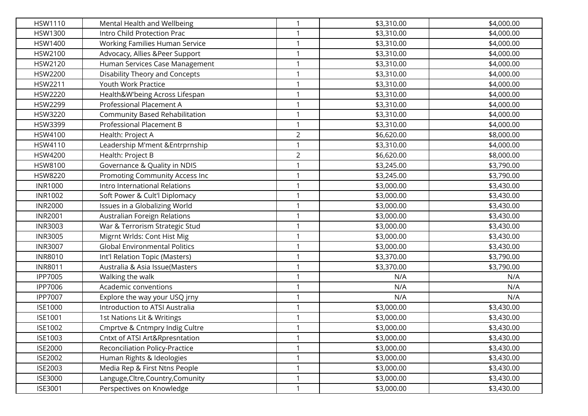| HSW1110        | Mental Health and Wellbeing          | $\mathbf{1}$   | \$3,310.00 | \$4,000.00 |
|----------------|--------------------------------------|----------------|------------|------------|
| <b>HSW1300</b> | Intro Child Protection Prac          | 1              | \$3,310.00 | \$4,000.00 |
| <b>HSW1400</b> | Working Families Human Service       | 1              | \$3,310.00 | \$4,000.00 |
| HSW2100        | Advocacy, Allies &Peer Support       | $\mathbf{1}$   | \$3,310.00 | \$4,000.00 |
| HSW2120        | Human Services Case Management       | 1              | \$3,310.00 | \$4,000.00 |
| HSW2200        | Disability Theory and Concepts       | $\mathbf{1}$   | \$3,310.00 | \$4,000.00 |
| HSW2211        | Youth Work Practice                  | $\mathbf{1}$   | \$3,310.00 | \$4,000.00 |
| HSW2220        | Health&W'being Across Lifespan       | $\mathbf{1}$   | \$3,310.00 | \$4,000.00 |
| <b>HSW2299</b> | Professional Placement A             | 1              | \$3,310.00 | \$4,000.00 |
| HSW3220        | Community Based Rehabilitation       | 1              | \$3,310.00 | \$4,000.00 |
| HSW3399        | Professional Placement B             | $\mathbf{1}$   | \$3,310.00 | \$4,000.00 |
| HSW4100        | Health: Project A                    | $\overline{2}$ | \$6,620.00 | \$8,000.00 |
| HSW4110        | Leadership M'ment & Entrprnship      | $\mathbf{1}$   | \$3,310.00 | \$4,000.00 |
| HSW4200        | Health: Project B                    | $\overline{2}$ | \$6,620.00 | \$8,000.00 |
| HSW8100        | Governance & Quality in NDIS         | 1              | \$3,245.00 | \$3,790.00 |
| <b>HSW8220</b> | Promoting Community Access Inc       | 1              | \$3,245.00 | \$3,790.00 |
| <b>INR1000</b> | Intro International Relations        | $\mathbf{1}$   | \$3,000.00 | \$3,430.00 |
| <b>INR1002</b> | Soft Power & Cult'l Diplomacy        | $\mathbf{1}$   | \$3,000.00 | \$3,430.00 |
| <b>INR2000</b> | Issues in a Globalizing World        | 1              | \$3,000.00 | \$3,430.00 |
| <b>INR2001</b> | <b>Australian Foreign Relations</b>  | $\mathbf{1}$   | \$3,000.00 | \$3,430.00 |
| <b>INR3003</b> | War & Terrorism Strategic Stud       | 1              | \$3,000.00 | \$3,430.00 |
| <b>INR3005</b> | Migrnt Wrlds: Cont Hist Mig          | 1              | \$3,000.00 | \$3,430.00 |
| <b>INR3007</b> | <b>Global Environmental Politics</b> | $\mathbf{1}$   | \$3,000.00 | \$3,430.00 |
| <b>INR8010</b> | Int'l Relation Topic (Masters)       | 1              | \$3,370.00 | \$3,790.00 |
| <b>INR8011</b> | Australia & Asia Issue(Masters       | $\mathbf{1}$   | \$3,370.00 | \$3,790.00 |
| <b>IPP7005</b> | Walking the walk                     | $\mathbf{1}$   | N/A        | N/A        |
| <b>IPP7006</b> | Academic conventions                 | $\mathbf{1}$   | N/A        | N/A        |
| <b>IPP7007</b> | Explore the way your USQ jrny        | 1              | N/A        | N/A        |
| <b>ISE1000</b> | Introduction to ATSI Australia       | 1              | \$3,000.00 | \$3,430.00 |
| <b>ISE1001</b> | 1st Nations Lit & Writings           | $\mathbf{1}$   | \$3,000.00 | \$3,430.00 |
| ISE1002        | Cmprtve & Cntmpry Indig Cultre       | 1              | \$3,000.00 | \$3,430.00 |
| ISE1003        | Cntxt of ATSI Art&Rpresntation       | $\mathbf{1}$   | \$3,000.00 | \$3,430.00 |
| <b>ISE2000</b> | Reconciliation Policy-Practice       | 1              | \$3,000.00 | \$3,430.00 |
| <b>ISE2002</b> | Human Rights & Ideologies            | 1              | \$3,000.00 | \$3,430.00 |
| ISE2003        | Media Rep & First Ntns People        | 1              | \$3,000.00 | \$3,430.00 |
| <b>ISE3000</b> | Languge, Cltre, Country, Comunity    | 1              | \$3,000.00 | \$3,430.00 |
| ISE3001        | Perspectives on Knowledge            | $\mathbf{1}$   | \$3,000.00 | \$3,430.00 |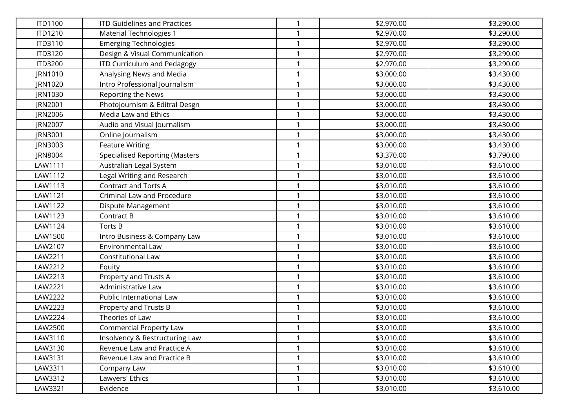| <b>ITD1100</b> | <b>ITD Guidelines and Practices</b>   | 1            | \$2,970.00 | \$3,290.00 |
|----------------|---------------------------------------|--------------|------------|------------|
| ITD1210        | <b>Material Technologies 1</b>        |              | \$2,970.00 | \$3,290.00 |
| ITD3110        | <b>Emerging Technologies</b>          | 1            | \$2,970.00 | \$3,290.00 |
| ITD3120        | Design & Visual Communication         | $\mathbf{1}$ | \$2,970.00 | \$3,290.00 |
| <b>ITD3200</b> | <b>ITD Curriculum and Pedagogy</b>    | 1            | \$2,970.00 | \$3,290.00 |
| JRN1010        | Analysing News and Media              | 1            | \$3,000.00 | \$3,430.00 |
| JRN1020        | Intro Professional Journalism         | 1            | \$3,000.00 | \$3,430.00 |
| JRN1030        | Reporting the News                    | 1            | \$3,000.00 | \$3,430.00 |
| JRN2001        | Photojournlsm & Editral Desgn         | 1            | \$3,000.00 | \$3,430.00 |
| JRN2006        | Media Law and Ethics                  | 1            | \$3,000.00 | \$3,430.00 |
| JRN2007        | Audio and Visual Journalism           | 1            | \$3,000.00 | \$3,430.00 |
| JRN3001        | Online Journalism                     | 1            | \$3,000.00 | \$3,430.00 |
| JRN3003        | <b>Feature Writing</b>                | $\mathbf{1}$ | \$3,000.00 | \$3,430.00 |
| JRN8004        | <b>Specialised Reporting (Masters</b> | 1            | \$3,370.00 | \$3,790.00 |
| LAW1111        | Australian Legal System               | 1            | \$3,010.00 | \$3,610.00 |
| LAW1112        | Legal Writing and Research            | $\mathbf{1}$ | \$3,010.00 | \$3,610.00 |
| LAW1113        | <b>Contract and Torts A</b>           | 1            | \$3,010.00 | \$3,610.00 |
| LAW1121        | Criminal Law and Procedure            | 1            | \$3,010.00 | \$3,610.00 |
| LAW1122        | Dispute Management                    | 1            | \$3,010.00 | \$3,610.00 |
| LAW1123        | Contract B                            | 1            | \$3,010.00 | \$3,610.00 |
| LAW1124        | Torts B                               | 1            | \$3,010.00 | \$3,610.00 |
| LAW1500        | Intro Business & Company Law          | $\mathbf{1}$ | \$3,010.00 | \$3,610.00 |
| LAW2107        | <b>Environmental Law</b>              | $\mathbf{1}$ | \$3,010.00 | \$3,610.00 |
| LAW2211        | Constitutional Law                    | 1            | \$3,010.00 | \$3,610.00 |
| LAW2212        | Equity                                | 1            | \$3,010.00 | \$3,610.00 |
| LAW2213        | Property and Trusts A                 | 1            | \$3,010.00 | \$3,610.00 |
| LAW2221        | Administrative Law                    | 1            | \$3,010.00 | \$3,610.00 |
| LAW2222        | Public International Law              | 1            | \$3,010.00 | \$3,610.00 |
| LAW2223        | Property and Trusts B                 | 1            | \$3,010.00 | \$3,610.00 |
| LAW2224        | Theories of Law                       | 1            | \$3,010.00 | \$3,610.00 |
| LAW2500        | <b>Commercial Property Law</b>        |              | \$3,010.00 | \$3,610.00 |
| LAW3110        | Insolvency & Restructuring Law        | $\mathbf{1}$ | \$3,010.00 | \$3,610.00 |
| LAW3130        | Revenue Law and Practice A            | 1            | \$3,010.00 | \$3,610.00 |
| LAW3131        | Revenue Law and Practice B            | 1            | \$3,010.00 | \$3,610.00 |
| LAW3311        | Company Law                           | $\mathbf{1}$ | \$3,010.00 | \$3,610.00 |
| LAW3312        | Lawyers' Ethics                       | 1            | \$3,010.00 | \$3,610.00 |
| LAW3321        | Evidence                              | $\mathbf{1}$ | \$3,010.00 | \$3,610.00 |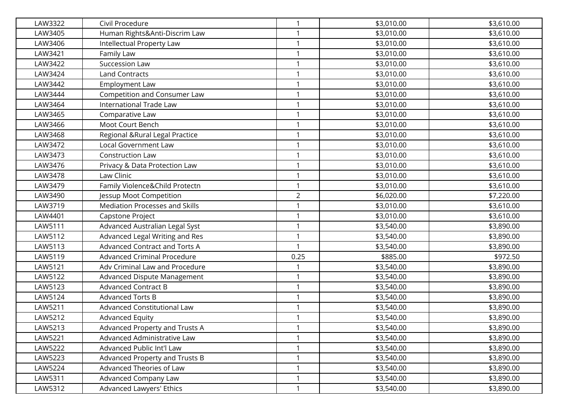| LAW3322 | Civil Procedure                    | 1              | \$3,010.00 | \$3,610.00 |
|---------|------------------------------------|----------------|------------|------------|
| LAW3405 | Human Rights&Anti-Discrim Law      |                | \$3,010.00 | \$3,610.00 |
| LAW3406 | Intellectual Property Law          | $\mathbf{1}$   | \$3,010.00 | \$3,610.00 |
| LAW3421 | Family Law                         | 1              | \$3,010.00 | \$3,610.00 |
| LAW3422 | Succession Law                     | 1              | \$3,010.00 | \$3,610.00 |
| LAW3424 | <b>Land Contracts</b>              | 1              | \$3,010.00 | \$3,610.00 |
| LAW3442 | <b>Employment Law</b>              | 1              | \$3,010.00 | \$3,610.00 |
| LAW3444 | Competition and Consumer Law       | 1              | \$3,010.00 | \$3,610.00 |
| LAW3464 | International Trade Law            | 1              | \$3,010.00 | \$3,610.00 |
| LAW3465 | Comparative Law                    | 1              | \$3,010.00 | \$3,610.00 |
| LAW3466 | Moot Court Bench                   | 1              | \$3,010.00 | \$3,610.00 |
| LAW3468 | Regional & Rural Legal Practice    | 1              | \$3,010.00 | \$3,610.00 |
| LAW3472 | <b>Local Government Law</b>        | $\mathbf{1}$   | \$3,010.00 | \$3,610.00 |
| LAW3473 | Construction Law                   | 1              | \$3,010.00 | \$3,610.00 |
| LAW3476 | Privacy & Data Protection Law      | 1              | \$3,010.00 | \$3,610.00 |
| LAW3478 | Law Clinic                         | $\mathbf{1}$   | \$3,010.00 | \$3,610.00 |
| LAW3479 | Family Violence&Child Protectn     | 1              | \$3,010.00 | \$3,610.00 |
| LAW3490 | Jessup Moot Competition            | $\overline{2}$ | \$6,020.00 | \$7,220.00 |
| LAW3719 | Mediation Processes and Skills     | 1              | \$3,010.00 | \$3,610.00 |
| LAW4401 | Capstone Project                   | 1              | \$3,010.00 | \$3,610.00 |
| LAW5111 | Advanced Australian Legal Syst     | 1              | \$3,540.00 | \$3,890.00 |
| LAW5112 | Advanced Legal Writing and Res     | $\mathbf{1}$   | \$3,540.00 | \$3,890.00 |
| LAW5113 | Advanced Contract and Torts A      | $\mathbf{1}$   | \$3,540.00 | \$3,890.00 |
| LAW5119 | <b>Advanced Criminal Procedure</b> | 0.25           | \$885.00   | \$972.50   |
| LAW5121 | Adv Criminal Law and Procedure     | 1              | \$3,540.00 | \$3,890.00 |
| LAW5122 | Advanced Dispute Management        | 1              | \$3,540.00 | \$3,890.00 |
| LAW5123 | <b>Advanced Contract B</b>         | 1              | \$3,540.00 | \$3,890.00 |
| LAW5124 | <b>Advanced Torts B</b>            | 1              | \$3,540.00 | \$3,890.00 |
| LAW5211 | Advanced Constitutional Law        | 1              | \$3,540.00 | \$3,890.00 |
| LAW5212 | <b>Advanced Equity</b>             | 1              | \$3,540.00 | \$3,890.00 |
| LAW5213 | Advanced Property and Trusts A     |                | \$3,540.00 | \$3,890.00 |
| LAW5221 | Advanced Administrative Law        | 1              | \$3,540.00 | \$3,890.00 |
| LAW5222 | Advanced Public Int'l Law          | 1              | \$3,540.00 | \$3,890.00 |
| LAW5223 | Advanced Property and Trusts B     | 1              | \$3,540.00 | \$3,890.00 |
| LAW5224 | Advanced Theories of Law           | $\mathbf{1}$   | \$3,540.00 | \$3,890.00 |
| LAW5311 | Advanced Company Law               | 1              | \$3,540.00 | \$3,890.00 |
| LAW5312 | Advanced Lawyers' Ethics           | 1              | \$3,540.00 | \$3,890.00 |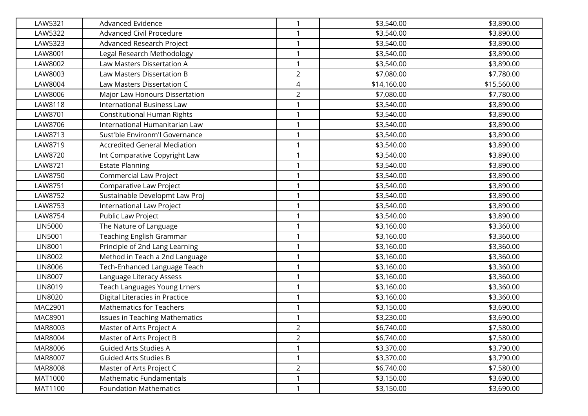| LAW5321        | Advanced Evidence                     | $\mathbf{1}$   | \$3,540.00  | \$3,890.00  |
|----------------|---------------------------------------|----------------|-------------|-------------|
| LAW5322        | <b>Advanced Civil Procedure</b>       | 1              | \$3,540.00  | \$3,890.00  |
| LAW5323        | Advanced Research Project             | $\mathbf{1}$   | \$3,540.00  | \$3,890.00  |
| LAW8001        | Legal Research Methodology            | $\mathbf{1}$   | \$3,540.00  | \$3,890.00  |
| LAW8002        | Law Masters Dissertation A            | 1              | \$3,540.00  | \$3,890.00  |
| LAW8003        | Law Masters Dissertation B            | $\overline{2}$ | \$7,080.00  | \$7,780.00  |
| LAW8004        | Law Masters Dissertation C            | 4              | \$14,160.00 | \$15,560.00 |
| LAW8006        | Major Law Honours Dissertation        | $\overline{2}$ | \$7,080.00  | \$7,780.00  |
| LAW8118        | <b>International Business Law</b>     | 1              | \$3,540.00  | \$3,890.00  |
| LAW8701        | <b>Constitutional Human Rights</b>    | 1              | \$3,540.00  | \$3,890.00  |
| LAW8706        | International Humanitarian Law        | $\mathbf{1}$   | \$3,540.00  | \$3,890.00  |
| LAW8713        | Sust'ble Environm'l Governance        | 1              | \$3,540.00  | \$3,890.00  |
| LAW8719        | <b>Accredited General Mediation</b>   | $\mathbf{1}$   | \$3,540.00  | \$3,890.00  |
| LAW8720        | Int Comparative Copyright Law         | 1              | \$3,540.00  | \$3,890.00  |
| LAW8721        | <b>Estate Planning</b>                | 1              | \$3,540.00  | \$3,890.00  |
| LAW8750        | <b>Commercial Law Project</b>         | $\mathbf{1}$   | \$3,540.00  | \$3,890.00  |
| LAW8751        | Comparative Law Project               | $\mathbf{1}$   | \$3,540.00  | \$3,890.00  |
| LAW8752        | Sustainable Developmt Law Proj        | $\mathbf{1}$   | \$3,540.00  | \$3,890.00  |
| LAW8753        | International Law Project             | $\mathbf{1}$   | \$3,540.00  | \$3,890.00  |
| LAW8754        | Public Law Project                    | 1              | \$3,540.00  | \$3,890.00  |
| <b>LIN5000</b> | The Nature of Language                | 1              | \$3,160.00  | \$3,360.00  |
| LIN5001        | Teaching English Grammar              | $\mathbf{1}$   | \$3,160.00  | \$3,360.00  |
| LIN8001        | Principle of 2nd Lang Learning        | $\mathbf{1}$   | \$3,160.00  | \$3,360.00  |
| LIN8002        | Method in Teach a 2nd Language        | 1              | \$3,160.00  | \$3,360.00  |
| LIN8006        | Tech-Enhanced Language Teach          | $\mathbf{1}$   | \$3,160.00  | \$3,360.00  |
| <b>LIN8007</b> | Language Literacy Assess              | 1              | \$3,160.00  | \$3,360.00  |
| LIN8019        | Teach Languages Young Lrners          | 1              | \$3,160.00  | \$3,360.00  |
| LIN8020        | Digital Literacies in Practice        | 1              | \$3,160.00  | \$3,360.00  |
| MAC2901        | <b>Mathematics for Teachers</b>       | 1              | \$3,150.00  | \$3,690.00  |
| MAC8901        | <b>Issues in Teaching Mathematics</b> | $\mathbf{1}$   | \$3,230.00  | \$3,690.00  |
| MAR8003        | Master of Arts Project A              | $\overline{2}$ | \$6,740.00  | \$7,580.00  |
| MAR8004        | Master of Arts Project B              | $\overline{2}$ | \$6,740.00  | \$7,580.00  |
| MAR8006        | Guided Arts Studies A                 |                | \$3,370.00  | \$3,790.00  |
| MAR8007        | <b>Guided Arts Studies B</b>          | 1              | \$3,370.00  | \$3,790.00  |
| <b>MAR8008</b> | Master of Arts Project C              | $\overline{2}$ | \$6,740.00  | \$7,580.00  |
| <b>MAT1000</b> | Mathematic Fundamentals               | 1              | \$3,150.00  | \$3,690.00  |
| MAT1100        | <b>Foundation Mathematics</b>         | $\mathbf{1}$   | \$3,150.00  | \$3,690.00  |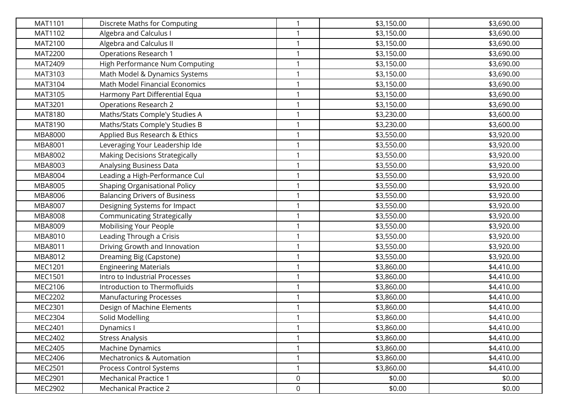| MAT1101        | Discrete Maths for Computing          | $\mathbf{1}$ | \$3,150.00 | \$3,690.00 |
|----------------|---------------------------------------|--------------|------------|------------|
| MAT1102        | Algebra and Calculus I                |              | \$3,150.00 | \$3,690.00 |
| MAT2100        | Algebra and Calculus II               | 1            | \$3,150.00 | \$3,690.00 |
| <b>MAT2200</b> | <b>Operations Research 1</b>          | $\mathbf{1}$ | \$3,150.00 | \$3,690.00 |
| MAT2409        | High Performance Num Computing        | 1            | \$3,150.00 | \$3,690.00 |
| MAT3103        | Math Model & Dynamics Systems         | 1            | \$3,150.00 | \$3,690.00 |
| MAT3104        | Math Model Financial Economics        | 1            | \$3,150.00 | \$3,690.00 |
| MAT3105        | Harmony Part Differential Equa        | 1            | \$3,150.00 | \$3,690.00 |
| MAT3201        | <b>Operations Research 2</b>          | 1            | \$3,150.00 | \$3,690.00 |
| MAT8180        | Maths/Stats Comple'y Studies A        |              | \$3,230.00 | \$3,600.00 |
| MAT8190        | Maths/Stats Comple'y Studies B        | $\mathbf{1}$ | \$3,230.00 | \$3,600.00 |
| MBA8000        | Applied Bus Research & Ethics         | 1            | \$3,550.00 | \$3,920.00 |
| MBA8001        | Leveraging Your Leadership Ide        | 1            | \$3,550.00 | \$3,920.00 |
| MBA8002        | <b>Making Decisions Strategically</b> | 1            | \$3,550.00 | \$3,920.00 |
| MBA8003        | Analysing Business Data               | 1            | \$3,550.00 | \$3,920.00 |
| MBA8004        | Leading a High-Performance Cul        | 1            | \$3,550.00 | \$3,920.00 |
| MBA8005        | Shaping Organisational Policy         | 1            | \$3,550.00 | \$3,920.00 |
| MBA8006        | <b>Balancing Drivers of Business</b>  | 1            | \$3,550.00 | \$3,920.00 |
| MBA8007        | Designing Systems for Impact          | 1            | \$3,550.00 | \$3,920.00 |
| <b>MBA8008</b> | <b>Communicating Strategically</b>    | 1            | \$3,550.00 | \$3,920.00 |
| MBA8009        | Mobilising Your People                | 1            | \$3,550.00 | \$3,920.00 |
| MBA8010        | Leading Through a Crisis              | 1            | \$3,550.00 | \$3,920.00 |
| MBA8011        | Driving Growth and Innovation         | $\mathbf{1}$ | \$3,550.00 | \$3,920.00 |
| MBA8012        | Dreaming Big (Capstone)               | 1            | \$3,550.00 | \$3,920.00 |
| MEC1201        | <b>Engineering Materials</b>          | 1            | \$3,860.00 | \$4,410.00 |
| MEC1501        | Intro to Industrial Processes         | 1            | \$3,860.00 | \$4,410.00 |
| MEC2106        | Introduction to Thermofluids          | 1            | \$3,860.00 | \$4,410.00 |
| MEC2202        | <b>Manufacturing Processes</b>        | 1            | \$3,860.00 | \$4,410.00 |
| MEC2301        | Design of Machine Elements            |              | \$3,860.00 | \$4,410.00 |
| MEC2304        | Solid Modelling                       | $\mathbf{1}$ | \$3,860.00 | \$4,410.00 |
| MEC2401        | Dynamics I                            |              | \$3,860.00 | \$4,410.00 |
| MEC2402        | <b>Stress Analysis</b>                | $\mathbf{1}$ | \$3,860.00 | \$4,410.00 |
| MEC2405        | Machine Dynamics                      | 1            | \$3,860.00 | \$4,410.00 |
| MEC2406        | <b>Mechatronics &amp; Automation</b>  | 1            | \$3,860.00 | \$4,410.00 |
| MEC2501        | Process Control Systems               | 1            | \$3,860.00 | \$4,410.00 |
| MEC2901        | <b>Mechanical Practice 1</b>          | 0            | \$0.00     | \$0.00     |
| MEC2902        | <b>Mechanical Practice 2</b>          | 0            | \$0.00     | \$0.00     |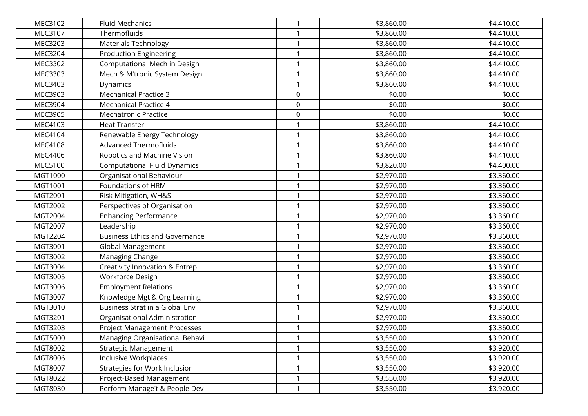| MEC3102 | <b>Fluid Mechanics</b>                | $\mathbf{1}$ | \$3,860.00 | \$4,410.00 |
|---------|---------------------------------------|--------------|------------|------------|
| MEC3107 | Thermofluids                          |              | \$3,860.00 | \$4,410.00 |
| MEC3203 | <b>Materials Technology</b>           | 1            | \$3,860.00 | \$4,410.00 |
| MEC3204 | <b>Production Engineering</b>         | $\mathbf{1}$ | \$3,860.00 | \$4,410.00 |
| MEC3302 | Computational Mech in Design          | 1            | \$3,860.00 | \$4,410.00 |
| MEC3303 | Mech & M'tronic System Design         | 1            | \$3,860.00 | \$4,410.00 |
| MEC3403 | Dynamics II                           | 1            | \$3,860.00 | \$4,410.00 |
| MEC3903 | <b>Mechanical Practice 3</b>          | 0            | \$0.00     | \$0.00     |
| MEC3904 | <b>Mechanical Practice 4</b>          | 0            | \$0.00     | \$0.00     |
| MEC3905 | Mechatronic Practice                  | 0            | \$0.00     | \$0.00     |
| MEC4103 | <b>Heat Transfer</b>                  | $\mathbf{1}$ | \$3,860.00 | \$4,410.00 |
| MEC4104 | Renewable Energy Technology           | $\mathbf{1}$ | \$3,860.00 | \$4,410.00 |
| MEC4108 | <b>Advanced Thermofluids</b>          | 1            | \$3,860.00 | \$4,410.00 |
| MEC4406 | Robotics and Machine Vision           | 1            | \$3,860.00 | \$4,410.00 |
| MEC5100 | <b>Computational Fluid Dynamics</b>   | 1            | \$3,820.00 | \$4,400.00 |
| MGT1000 | Organisational Behaviour              | 1            | \$2,970.00 | \$3,360.00 |
| MGT1001 | Foundations of HRM                    | 1            | \$2,970.00 | \$3,360.00 |
| MGT2001 | Risk Mitigation, WH&S                 | 1            | \$2,970.00 | \$3,360.00 |
| MGT2002 | Perspectives of Organisation          | 1            | \$2,970.00 | \$3,360.00 |
| MGT2004 | <b>Enhancing Performance</b>          | 1            | \$2,970.00 | \$3,360.00 |
| MGT2007 | Leadership                            | 1            | \$2,970.00 | \$3,360.00 |
| MGT2204 | <b>Business Ethics and Governance</b> | 1            | \$2,970.00 | \$3,360.00 |
| MGT3001 | Global Management                     | $\mathbf{1}$ | \$2,970.00 | \$3,360.00 |
| MGT3002 | Managing Change                       | 1            | \$2,970.00 | \$3,360.00 |
| MGT3004 | Creativity Innovation & Entrep        | 1            | \$2,970.00 | \$3,360.00 |
| MGT3005 | Workforce Design                      | 1            | \$2,970.00 | \$3,360.00 |
| MGT3006 | <b>Employment Relations</b>           | 1            | \$2,970.00 | \$3,360.00 |
| MGT3007 | Knowledge Mgt & Org Learning          | 1            | \$2,970.00 | \$3,360.00 |
| MGT3010 | Business Strat in a Global Env        |              | \$2,970.00 | \$3,360.00 |
| MGT3201 | Organisational Administration         | $\mathbf{1}$ | \$2,970.00 | \$3,360.00 |
| MGT3203 | Project Management Processes          |              | \$2,970.00 | \$3,360.00 |
| MGT5000 | Managing Organisational Behavi        | 1            | \$3,550.00 | \$3,920.00 |
| MGT8002 | <b>Strategic Management</b>           |              | \$3,550.00 | \$3,920.00 |
| MGT8006 | <b>Inclusive Workplaces</b>           | 1            | \$3,550.00 | \$3,920.00 |
| MGT8007 | <b>Strategies for Work Inclusion</b>  | 1            | \$3,550.00 | \$3,920.00 |
| MGT8022 | Project-Based Management              |              | \$3,550.00 | \$3,920.00 |
| MGT8030 | Perform Manage't & People Dev         | $\mathbf{1}$ | \$3,550.00 | \$3,920.00 |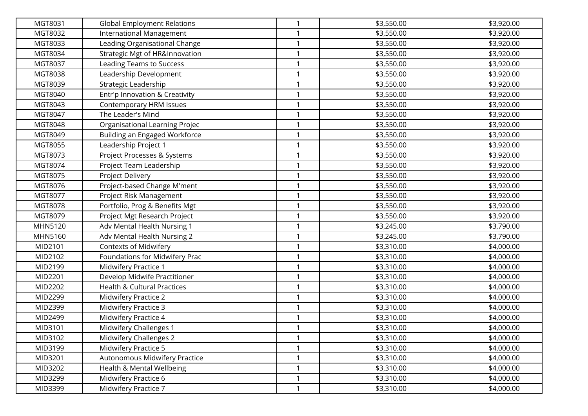| MGT8031 | <b>Global Employment Relations</b>        | 1            | \$3,550.00 | \$3,920.00 |
|---------|-------------------------------------------|--------------|------------|------------|
| MGT8032 | International Management                  | 1            | \$3,550.00 | \$3,920.00 |
| MGT8033 | Leading Organisational Change             | 1            | \$3,550.00 | \$3,920.00 |
| MGT8034 | <b>Strategic Mgt of HR&amp;Innovation</b> | $\mathbf{1}$ | \$3,550.00 | \$3,920.00 |
| MGT8037 | <b>Leading Teams to Success</b>           | 1            | \$3,550.00 | \$3,920.00 |
| MGT8038 | Leadership Development                    | $\mathbf{1}$ | \$3,550.00 | \$3,920.00 |
| MGT8039 | Strategic Leadership                      | 1            | \$3,550.00 | \$3,920.00 |
| MGT8040 | Entr'p Innovation & Creativity            | 1            | \$3,550.00 | \$3,920.00 |
| MGT8043 | Contemporary HRM Issues                   | $\mathbf{1}$ | \$3,550.00 | \$3,920.00 |
| MGT8047 | The Leader's Mind                         | 1            | \$3,550.00 | \$3,920.00 |
| MGT8048 | Organisational Learning Projec            | $\mathbf{1}$ | \$3,550.00 | \$3,920.00 |
| MGT8049 | Building an Engaged Workforce             | $\mathbf{1}$ | \$3,550.00 | \$3,920.00 |
| MGT8055 | Leadership Project 1                      | 1            | \$3,550.00 | \$3,920.00 |
| MGT8073 | Project Processes & Systems               | 1            | \$3,550.00 | \$3,920.00 |
| MGT8074 | Project Team Leadership                   | 1            | \$3,550.00 | \$3,920.00 |
| MGT8075 | Project Delivery                          | $\mathbf{1}$ | \$3,550.00 | \$3,920.00 |
| MGT8076 | Project-based Change M'ment               | 1            | \$3,550.00 | \$3,920.00 |
| MGT8077 | Project Risk Management                   | $\mathbf{1}$ | \$3,550.00 | \$3,920.00 |
| MGT8078 | Portfolio, Prog & Benefits Mgt            | 1            | \$3,550.00 | \$3,920.00 |
| MGT8079 | Project Mgt Research Project              | 1            | \$3,550.00 | \$3,920.00 |
| MHN5120 | Adv Mental Health Nursing 1               | 1            | \$3,245.00 | \$3,790.00 |
| MHN5160 | Adv Mental Health Nursing 2               | 1            | \$3,245.00 | \$3,790.00 |
| MID2101 | <b>Contexts of Midwifery</b>              | $\mathbf{1}$ | \$3,310.00 | \$4,000.00 |
| MID2102 | Foundations for Midwifery Prac            | 1            | \$3,310.00 | \$4,000.00 |
| MID2199 | Midwifery Practice 1                      | $\mathbf{1}$ | \$3,310.00 | \$4,000.00 |
| MID2201 | Develop Midwife Practitioner              | 1            | \$3,310.00 | \$4,000.00 |
| MID2202 | <b>Health &amp; Cultural Practices</b>    | 1            | \$3,310.00 | \$4,000.00 |
| MID2299 | Midwifery Practice 2                      | $\mathbf{1}$ | \$3,310.00 | \$4,000.00 |
| MID2399 | Midwifery Practice 3                      | 1            | \$3,310.00 | \$4,000.00 |
| MID2499 | Midwifery Practice 4                      | $\mathbf{1}$ | \$3,310.00 | \$4,000.00 |
| MID3101 | Midwifery Challenges 1                    | $\mathbf{1}$ | \$3,310.00 | \$4,000.00 |
| MID3102 | Midwifery Challenges 2                    | $\mathbf{1}$ | \$3,310.00 | \$4,000.00 |
| MID3199 | <b>Midwifery Practice 5</b>               | 1            | \$3,310.00 | \$4,000.00 |
| MID3201 | Autonomous Midwifery Practice             | $\mathbf{1}$ | \$3,310.00 | \$4,000.00 |
| MID3202 | Health & Mental Wellbeing                 | $\mathbf{1}$ | \$3,310.00 | \$4,000.00 |
| MID3299 | Midwifery Practice 6                      | 1            | \$3,310.00 | \$4,000.00 |
| MID3399 | Midwifery Practice 7                      | $\mathbf{1}$ | \$3,310.00 | \$4,000.00 |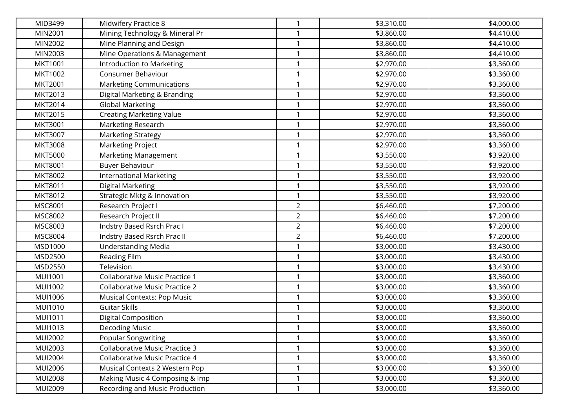| MID3499        | Midwifery Practice 8                  | $\mathbf{1}$   | \$3,310.00 | \$4,000.00 |
|----------------|---------------------------------------|----------------|------------|------------|
| MIN2001        | Mining Technology & Mineral Pr        |                | \$3,860.00 | \$4,410.00 |
| MIN2002        | Mine Planning and Design              | 1              | \$3,860.00 | \$4,410.00 |
| MIN2003        | Mine Operations & Management          | 1              | \$3,860.00 | \$4,410.00 |
| MKT1001        | Introduction to Marketing             | 1              | \$2,970.00 | \$3,360.00 |
| MKT1002        | Consumer Behaviour                    | 1              | \$2,970.00 | \$3,360.00 |
| MKT2001        | <b>Marketing Communications</b>       | 1              | \$2,970.00 | \$3,360.00 |
| MKT2013        | Digital Marketing & Branding          | 1              | \$2,970.00 | \$3,360.00 |
| MKT2014        | <b>Global Marketing</b>               | 1              | \$2,970.00 | \$3,360.00 |
| MKT2015        | <b>Creating Marketing Value</b>       |                | \$2,970.00 | \$3,360.00 |
| MKT3001        | Marketing Research                    | 1              | \$2,970.00 | \$3,360.00 |
| MKT3007        | <b>Marketing Strategy</b>             | 1              | \$2,970.00 | \$3,360.00 |
| <b>MKT3008</b> | Marketing Project                     | 1              | \$2,970.00 | \$3,360.00 |
| <b>MKT5000</b> | <b>Marketing Management</b>           | 1              | \$3,550.00 | \$3,920.00 |
| <b>MKT8001</b> | <b>Buyer Behaviour</b>                | 1              | \$3,550.00 | \$3,920.00 |
| MKT8002        | <b>International Marketing</b>        | $\mathbf{1}$   | \$3,550.00 | \$3,920.00 |
| MKT8011        | Digital Marketing                     | 1              | \$3,550.00 | \$3,920.00 |
| MKT8012        | Strategic Mktg & Innovation           | $\mathbf{1}$   | \$3,550.00 | \$3,920.00 |
| <b>MSC8001</b> | Research Project I                    | $\overline{2}$ | \$6,460.00 | \$7,200.00 |
| MSC8002        | Research Project II                   | $\overline{2}$ | \$6,460.00 | \$7,200.00 |
| MSC8003        | Indstry Based Rsrch Prac I            | $\overline{a}$ | \$6,460.00 | \$7,200.00 |
| MSC8004        | Indstry Based Rsrch Prac II           | $\overline{2}$ | \$6,460.00 | \$7,200.00 |
| MSD1000        | <b>Understanding Media</b>            | 1              | \$3,000.00 | \$3,430.00 |
| MSD2500        | Reading Film                          | 1              | \$3,000.00 | \$3,430.00 |
| MSD2550        | Television                            | 1              | \$3,000.00 | \$3,430.00 |
| MUI1001        | <b>Collaborative Music Practice 1</b> | 1              | \$3,000.00 | \$3,360.00 |
| MUI1002        | <b>Collaborative Music Practice 2</b> | 1              | \$3,000.00 | \$3,360.00 |
| MUI1006        | <b>Musical Contexts: Pop Music</b>    | 1              | \$3,000.00 | \$3,360.00 |
| MUI1010        | Guitar Skills                         | 1              | \$3,000.00 | \$3,360.00 |
| MUI1011        | Digital Composition                   | 1              | \$3,000.00 | \$3,360.00 |
| MUI1013        | <b>Decoding Music</b>                 |                | \$3,000.00 | \$3,360.00 |
| MUI2002        | Popular Songwriting                   | $\mathbf{1}$   | \$3,000.00 | \$3,360.00 |
| MUI2003        | <b>Collaborative Music Practice 3</b> |                | \$3,000.00 | \$3,360.00 |
| <b>MUI2004</b> | Collaborative Music Practice 4        | 1              | \$3,000.00 | \$3,360.00 |
| MUI2006        | Musical Contexts 2 Western Pop        | $\mathbf{1}$   | \$3,000.00 | \$3,360.00 |
| <b>MUI2008</b> | Making Music 4 Composing & Imp        | 1              | \$3,000.00 | \$3,360.00 |
| MUI2009        | Recording and Music Production        | $\mathbf{1}$   | \$3,000.00 | \$3,360.00 |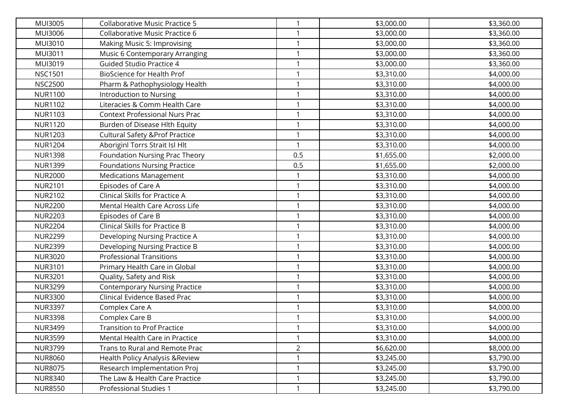| <b>MUI3005</b> | <b>Collaborative Music Practice 5</b>      | 1              | \$3,000.00 | \$3,360.00 |
|----------------|--------------------------------------------|----------------|------------|------------|
| MUI3006        | Collaborative Music Practice 6             | 1              | \$3,000.00 | \$3,360.00 |
| MUI3010        | Making Music 5: Improvising                | 1              | \$3,000.00 | \$3,360.00 |
| MUI3011        | Music 6 Contemporary Arranging             | 1              | \$3,000.00 | \$3,360.00 |
| MUI3019        | <b>Guided Studio Practice 4</b>            | 1              | \$3,000.00 | \$3,360.00 |
| <b>NSC1501</b> | BioScience for Health Prof                 | 1              | \$3,310.00 | \$4,000.00 |
| <b>NSC2500</b> | Pharm & Pathophysiology Health             | 1              | \$3,310.00 | \$4,000.00 |
| <b>NUR1100</b> | Introduction to Nursing                    | 1              | \$3,310.00 | \$4,000.00 |
| <b>NUR1102</b> | Literacies & Comm Health Care              | 1              | \$3,310.00 | \$4,000.00 |
| <b>NUR1103</b> | <b>Context Professional Nurs Prac</b>      | 1              | \$3,310.00 | \$4,000.00 |
| <b>NUR1120</b> | Burden of Disease Hlth Equity              | 1              | \$3,310.00 | \$4,000.00 |
| <b>NUR1203</b> | <b>Cultural Safety &amp; Prof Practice</b> | 1              | \$3,310.00 | \$4,000.00 |
| <b>NUR1204</b> | Aboriginl Torrs Strait Isl Hlt             | 1              | \$3,310.00 | \$4,000.00 |
| <b>NUR1398</b> | Foundation Nursing Prac Theory             | 0.5            | \$1,655.00 | \$2,000.00 |
| <b>NUR1399</b> | <b>Foundations Nursing Practice</b>        | 0.5            | \$1,655.00 | \$2,000.00 |
| <b>NUR2000</b> | <b>Medications Management</b>              | 1              | \$3,310.00 | \$4,000.00 |
| <b>NUR2101</b> | Episodes of Care A                         | 1              | \$3,310.00 | \$4,000.00 |
| <b>NUR2102</b> | Clinical Skills for Practice A             | 1              | \$3,310.00 | \$4,000.00 |
| <b>NUR2200</b> | Mental Health Care Across Life             | 1              | \$3,310.00 | \$4,000.00 |
| <b>NUR2203</b> | Episodes of Care B                         |                | \$3,310.00 | \$4,000.00 |
| <b>NUR2204</b> | <b>Clinical Skills for Practice B</b>      | 1              | \$3,310.00 | \$4,000.00 |
| <b>NUR2299</b> | Developing Nursing Practice A              | 1              | \$3,310.00 | \$4,000.00 |
| <b>NUR2399</b> | Developing Nursing Practice B              | 1              | \$3,310.00 | \$4,000.00 |
| <b>NUR3020</b> | <b>Professional Transitions</b>            | 1              | \$3,310.00 | \$4,000.00 |
| <b>NUR3101</b> | Primary Health Care in Global              | 1              | \$3,310.00 | \$4,000.00 |
| <b>NUR3201</b> | Quality, Safety and Risk                   | 1              | \$3,310.00 | \$4,000.00 |
| <b>NUR3299</b> | <b>Contemporary Nursing Practice</b>       | 1              | \$3,310.00 | \$4,000.00 |
| <b>NUR3300</b> | Clinical Evidence Based Prac               | 1              | \$3,310.00 | \$4,000.00 |
| <b>NUR3397</b> | Complex Care A                             | 1              | \$3,310.00 | \$4,000.00 |
| <b>NUR3398</b> | Complex Care B                             | 1              | \$3,310.00 | \$4,000.00 |
| <b>NUR3499</b> | <b>Transition to Prof Practice</b>         | $\mathbf{1}$   | \$3,310.00 | \$4,000.00 |
| <b>NUR3599</b> | Mental Health Care in Practice             | $\mathbf{1}$   | \$3,310.00 | \$4,000.00 |
| <b>NUR3799</b> | Trans to Rural and Remote Prac             | $\overline{a}$ | \$6,620.00 | \$8,000.00 |
| <b>NUR8060</b> | <b>Health Policy Analysis &amp; Review</b> | 1              | \$3,245.00 | \$3,790.00 |
| <b>NUR8075</b> | Research Implementation Proj               | 1              | \$3,245.00 | \$3,790.00 |
| <b>NUR8340</b> | The Law & Health Care Practice             | 1              | \$3,245.00 | \$3,790.00 |
| <b>NUR8550</b> | Professional Studies 1                     | $\mathbf{1}$   | \$3,245.00 | \$3,790.00 |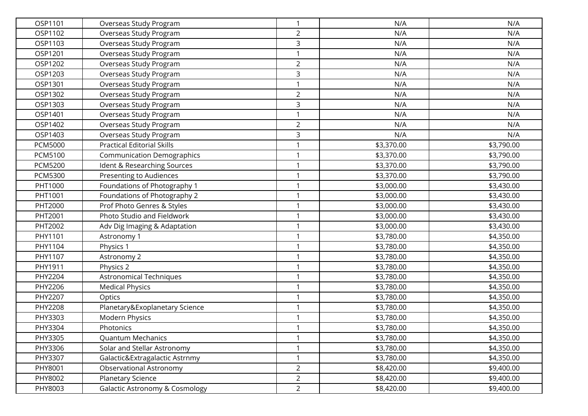| OSP1101        | Overseas Study Program                    | 1              | N/A        | N/A        |
|----------------|-------------------------------------------|----------------|------------|------------|
| OSP1102        | Overseas Study Program                    | $\overline{2}$ | N/A        | N/A        |
| OSP1103        | Overseas Study Program                    | 3              | N/A        | N/A        |
| OSP1201        | Overseas Study Program                    | $\mathbf{1}$   | N/A        | N/A        |
| OSP1202        | Overseas Study Program                    | $\overline{2}$ | N/A        | N/A        |
| OSP1203        | Overseas Study Program                    | 3              | N/A        | N/A        |
| OSP1301        | Overseas Study Program                    | 1              | N/A        | N/A        |
| OSP1302        | Overseas Study Program                    | $\overline{2}$ | N/A        | N/A        |
| OSP1303        | Overseas Study Program                    | 3              | N/A        | N/A        |
| OSP1401        | Overseas Study Program                    | 1              | N/A        | N/A        |
| OSP1402        | Overseas Study Program                    | $\overline{2}$ | N/A        | N/A        |
| OSP1403        | Overseas Study Program                    | 3              | N/A        | N/A        |
| <b>PCM5000</b> | <b>Practical Editorial Skills</b>         | 1              | \$3,370.00 | \$3,790.00 |
| PCM5100        | <b>Communication Demographics</b>         | 1              | \$3,370.00 | \$3,790.00 |
| <b>PCM5200</b> | Ident & Researching Sources               | 1              | \$3,370.00 | \$3,790.00 |
| <b>PCM5300</b> | <b>Presenting to Audiences</b>            | 1              | \$3,370.00 | \$3,790.00 |
| PHT1000        | Foundations of Photography 1              | 1              | \$3,000.00 | \$3,430.00 |
| PHT1001        | Foundations of Photography 2              | 1              | \$3,000.00 | \$3,430.00 |
| PHT2000        | Prof Photo Genres & Styles                | 1              | \$3,000.00 | \$3,430.00 |
| PHT2001        | Photo Studio and Fieldwork                |                | \$3,000.00 | \$3,430.00 |
| PHT2002        | Adv Dig Imaging & Adaptation              | 1              | \$3,000.00 | \$3,430.00 |
| PHY1101        | Astronomy 1                               | 1              | \$3,780.00 | \$4,350.00 |
| PHY1104        | Physics 1                                 | $\mathbf{1}$   | \$3,780.00 | \$4,350.00 |
| PHY1107        | Astronomy 2                               | 1              | \$3,780.00 | \$4,350.00 |
| PHY1911        | Physics 2                                 | 1              | \$3,780.00 | \$4,350.00 |
| PHY2204        | <b>Astronomical Techniques</b>            | 1              | \$3,780.00 | \$4,350.00 |
| PHY2206        | <b>Medical Physics</b>                    | 1              | \$3,780.00 | \$4,350.00 |
| PHY2207        | Optics                                    | 1              | \$3,780.00 | \$4,350.00 |
| PHY2208        | Planetary&Exoplanetary Science            | 1              | \$3,780.00 | \$4,350.00 |
| PHY3303        | Modern Physics                            | 1              | \$3,780.00 | \$4,350.00 |
| PHY3304        | Photonics                                 | 1              | \$3,780.00 | \$4,350.00 |
| PHY3305        | Quantum Mechanics                         | $\mathbf{1}$   | \$3,780.00 | \$4,350.00 |
| PHY3306        | Solar and Stellar Astronomy               | 1              | \$3,780.00 | \$4,350.00 |
| PHY3307        | Galactic&Extragalactic Astrnmy            | $\mathbf{1}$   | \$3,780.00 | \$4,350.00 |
| PHY8001        | Observational Astronomy                   | $\overline{2}$ | \$8,420.00 | \$9,400.00 |
| PHY8002        | Planetary Science                         | $\overline{a}$ | \$8,420.00 | \$9,400.00 |
| PHY8003        | <b>Galactic Astronomy &amp; Cosmology</b> | $2^{\circ}$    | \$8,420.00 | \$9,400.00 |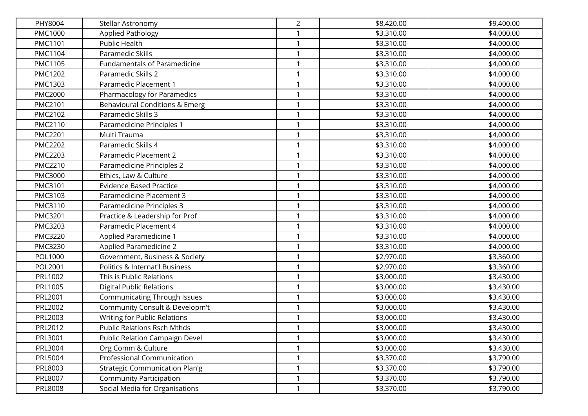| PHY8004        | Stellar Astronomy                     | $\overline{2}$ | \$8,420.00 | \$9,400.00 |
|----------------|---------------------------------------|----------------|------------|------------|
| PMC1000        | Applied Pathology                     | 1              | \$3,310.00 | \$4,000.00 |
| PMC1101        | <b>Public Health</b>                  | $\mathbf{1}$   | \$3,310.00 | \$4,000.00 |
| <b>PMC1104</b> | Paramedic Skills                      | $\mathbf{1}$   | \$3,310.00 | \$4,000.00 |
| PMC1105        | Fundamentals of Paramedicine          | 1              | \$3,310.00 | \$4,000.00 |
| PMC1202        | Paramedic Skills 2                    | $\mathbf{1}$   | \$3,310.00 | \$4,000.00 |
| PMC1303        | Paramedic Placement 1                 | 1              | \$3,310.00 | \$4,000.00 |
| <b>PMC2000</b> | Pharmacology for Paramedics           | 1              | \$3,310.00 | \$4,000.00 |
| PMC2101        | Behavioural Conditions & Emerg        | 1              | \$3,310.00 | \$4,000.00 |
| PMC2102        | Paramedic Skills 3                    | 1              | \$3,310.00 | \$4,000.00 |
| PMC2110        | Paramedicine Principles 1             | $\mathbf{1}$   | \$3,310.00 | \$4,000.00 |
| <b>PMC2201</b> | Multi Trauma                          | $\mathbf{1}$   | \$3,310.00 | \$4,000.00 |
| <b>PMC2202</b> | Paramedic Skills 4                    | $\mathbf{1}$   | \$3,310.00 | \$4,000.00 |
| PMC2203        | Paramedic Placement 2                 | 1              | \$3,310.00 | \$4,000.00 |
| <b>PMC2210</b> | Paramedicine Principles 2             | 1              | \$3,310.00 | \$4,000.00 |
| PMC3000        | Ethics, Law & Culture                 | $\mathbf{1}$   | \$3,310.00 | \$4,000.00 |
| PMC3101        | <b>Evidence Based Practice</b>        | $\mathbf{1}$   | \$3,310.00 | \$4,000.00 |
| PMC3103        | Paramedicine Placement 3              | $\mathbf{1}$   | \$3,310.00 | \$4,000.00 |
| PMC3110        | Paramedicine Principles 3             | $\mathbf{1}$   | \$3,310.00 | \$4,000.00 |
| PMC3201        | Practice & Leadership for Prof        | 1              | \$3,310.00 | \$4,000.00 |
| PMC3203        | Paramedic Placement 4                 | 1              | \$3,310.00 | \$4,000.00 |
| PMC3220        | Applied Paramedicine 1                | $\mathbf{1}$   | \$3,310.00 | \$4,000.00 |
| PMC3230        | Applied Paramedicine 2                | $\mathbf{1}$   | \$3,310.00 | \$4,000.00 |
| POL1000        | Government, Business & Society        | $\mathbf{1}$   | \$2,970.00 | \$3,360.00 |
| POL2001        | Politics & Internat'l Business        | $\mathbf{1}$   | \$2,970.00 | \$3,360.00 |
| PRL1002        | This is Public Relations              | 1              | \$3,000.00 | \$3,430.00 |
| PRL1005        | <b>Digital Public Relations</b>       | $\mathbf{1}$   | \$3,000.00 | \$3,430.00 |
| PRL2001        | Communicating Through Issues          | $\mathbf{1}$   | \$3,000.00 | \$3,430.00 |
| PRL2002        | Community Consult & Developm't        | 1              | \$3,000.00 | \$3,430.00 |
| PRL2003        | Writing for Public Relations          | $\mathbf{1}$   | \$3,000.00 | \$3,430.00 |
| PRL2012        | <b>Public Relations Rsch Mthds</b>    | 1              | \$3,000.00 | \$3,430.00 |
| PRL3001        | Public Relation Campaign Devel        | $\mathbf{1}$   | \$3,000.00 | \$3,430.00 |
| PRL3004        | Org Comm & Culture                    | 1              | \$3,000.00 | \$3,430.00 |
| PRL5004        | Professional Communication            | 1              | \$3,370.00 | \$3,790.00 |
| PRL8003        | <b>Strategic Communication Plan'g</b> | $\mathbf{1}$   | \$3,370.00 | \$3,790.00 |
| PRL8007        | <b>Community Participation</b>        | 1              | \$3,370.00 | \$3,790.00 |
| PRL8008        | Social Media for Organisations        | $\mathbf{1}$   | \$3,370.00 | \$3,790.00 |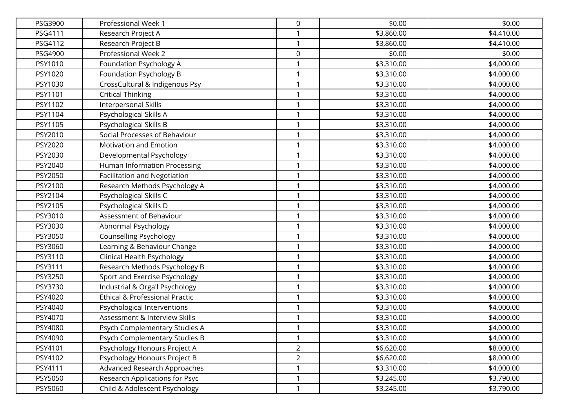| PSG3900 | Professional Week 1                 | 0              | \$0.00     | \$0.00     |
|---------|-------------------------------------|----------------|------------|------------|
| PSG4111 | Research Project A                  | 1              | \$3,860.00 | \$4,410.00 |
| PSG4112 | Research Project B                  | $\mathbf{1}$   | \$3,860.00 | \$4,410.00 |
| PSG4900 | Professional Week 2                 | 0              | \$0.00     | \$0.00     |
| PSY1010 | Foundation Psychology A             | 1              | \$3,310.00 | \$4,000.00 |
| PSY1020 | Foundation Psychology B             | $\mathbf{1}$   | \$3,310.00 | \$4,000.00 |
| PSY1030 | CrossCultural & Indigenous Psy      | 1              | \$3,310.00 | \$4,000.00 |
| PSY1101 | <b>Critical Thinking</b>            | 1              | \$3,310.00 | \$4,000.00 |
| PSY1102 | Interpersonal Skills                | 1              | \$3,310.00 | \$4,000.00 |
| PSY1104 | Psychological Skills A              | 1              | \$3,310.00 | \$4,000.00 |
| PSY1105 | Psychological Skills B              | $\mathbf{1}$   | \$3,310.00 | \$4,000.00 |
| PSY2010 | Social Processes of Behaviour       | 1              | \$3,310.00 | \$4,000.00 |
| PSY2020 | Motivation and Emotion              | $\mathbf{1}$   | \$3,310.00 | \$4,000.00 |
| PSY2030 | Developmental Psychology            | 1              | \$3,310.00 | \$4,000.00 |
| PSY2040 | Human Information Processing        | 1              | \$3,310.00 | \$4,000.00 |
| PSY2050 | <b>Facilitation and Negotiation</b> | $\mathbf{1}$   | \$3,310.00 | \$4,000.00 |
| PSY2100 | Research Methods Psychology A       | $\mathbf{1}$   | \$3,310.00 | \$4,000.00 |
| PSY2104 | Psychological Skills C              | $\mathbf{1}$   | \$3,310.00 | \$4,000.00 |
| PSY2105 | Psychological Skills D              | $\mathbf{1}$   | \$3,310.00 | \$4,000.00 |
| PSY3010 | Assessment of Behaviour             | 1              | \$3,310.00 | \$4,000.00 |
| PSY3030 | Abnormal Psychology                 | 1              | \$3,310.00 | \$4,000.00 |
| PSY3050 | <b>Counselling Psychology</b>       | $\mathbf{1}$   | \$3,310.00 | \$4,000.00 |
| PSY3060 | Learning & Behaviour Change         | $\mathbf{1}$   | \$3,310.00 | \$4,000.00 |
| PSY3110 | Clinical Health Psychology          | $\mathbf{1}$   | \$3,310.00 | \$4,000.00 |
| PSY3111 | Research Methods Psychology B       | $\mathbf{1}$   | \$3,310.00 | \$4,000.00 |
| PSY3250 | Sport and Exercise Psychology       | 1              | \$3,310.00 | \$4,000.00 |
| PSY3730 | Industrial & Orga'l Psychology      | 1              | \$3,310.00 | \$4,000.00 |
| PSY4020 | Ethical & Professional Practic      | 1              | \$3,310.00 | \$4,000.00 |
| PSY4040 | Psychological Interventions         | 1              | \$3,310.00 | \$4,000.00 |
| PSY4070 | Assessment & Interview Skills       | $\mathbf{1}$   | \$3,310.00 | \$4,000.00 |
| PSY4080 | Psych Complementary Studies A       | 1              | \$3,310.00 | \$4,000.00 |
| PSY4090 | Psych Complementary Studies B       | $\mathbf{1}$   | \$3,310.00 | \$4,000.00 |
| PSY4101 | Psychology Honours Project A        | $\overline{2}$ | \$6,620.00 | \$8,000.00 |
| PSY4102 | Psychology Honours Project B        | $\overline{2}$ | \$6,620.00 | \$8,000.00 |
| PSY4111 | Advanced Research Approaches        | $\mathbf{1}$   | \$3,310.00 | \$4,000.00 |
| PSY5050 | Research Applications for Psyc      | 1              | \$3,245.00 | \$3,790.00 |
| PSY5060 | Child & Adolescent Psychology       | $\mathbf{1}$   | \$3,245.00 | \$3,790.00 |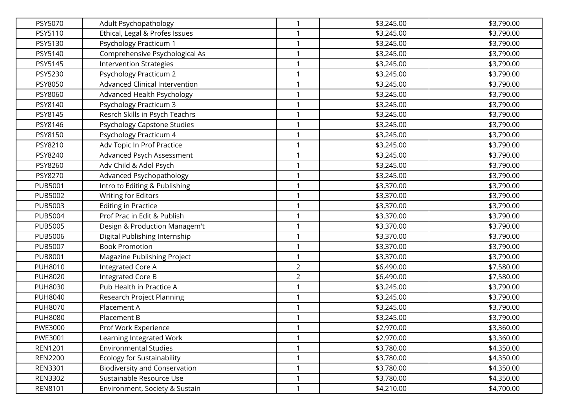| PSY5070        | Adult Psychopathology                 | $\mathbf{1}$   | \$3,245.00 | \$3,790.00 |
|----------------|---------------------------------------|----------------|------------|------------|
| PSY5110        | Ethical, Legal & Profes Issues        | 1              | \$3,245.00 | \$3,790.00 |
| PSY5130        | Psychology Practicum 1                | $\mathbf{1}$   | \$3,245.00 | \$3,790.00 |
| PSY5140        | Comprehensive Psychological As        | $\mathbf{1}$   | \$3,245.00 | \$3,790.00 |
| PSY5145        | <b>Intervention Strategies</b>        | 1              | \$3,245.00 | \$3,790.00 |
| PSY5230        | <b>Psychology Practicum 2</b>         | $\mathbf{1}$   | \$3,245.00 | \$3,790.00 |
| PSY8050        | <b>Advanced Clinical Intervention</b> | 1              | \$3,245.00 | \$3,790.00 |
| PSY8060        | Advanced Health Psychology            | 1              | \$3,245.00 | \$3,790.00 |
| PSY8140        | <b>Psychology Practicum 3</b>         | 1              | \$3,245.00 | \$3,790.00 |
| PSY8145        | Resrch Skills in Psych Teachrs        | 1              | \$3,245.00 | \$3,790.00 |
| PSY8146        | Psychology Capstone Studies           | $\mathbf{1}$   | \$3,245.00 | \$3,790.00 |
| PSY8150        | Psychology Practicum 4                | 1              | \$3,245.00 | \$3,790.00 |
| PSY8210        | Adv Topic In Prof Practice            | $\mathbf{1}$   | \$3,245.00 | \$3,790.00 |
| PSY8240        | Advanced Psych Assessment             | 1              | \$3,245.00 | \$3,790.00 |
| PSY8260        | Adv Child & Adol Psych                | 1              | \$3,245.00 | \$3,790.00 |
| PSY8270        | Advanced Psychopathology              | $\mathbf{1}$   | \$3,245.00 | \$3,790.00 |
| <b>PUB5001</b> | Intro to Editing & Publishing         | $\mathbf{1}$   | \$3,370.00 | \$3,790.00 |
| <b>PUB5002</b> | <b>Writing for Editors</b>            | $\mathbf{1}$   | \$3,370.00 | \$3,790.00 |
| <b>PUB5003</b> | <b>Editing in Practice</b>            | $\mathbf{1}$   | \$3,370.00 | \$3,790.00 |
| <b>PUB5004</b> | Prof Prac in Edit & Publish           | 1              | \$3,370.00 | \$3,790.00 |
| <b>PUB5005</b> | Design & Production Managem't         | 1              | \$3,370.00 | \$3,790.00 |
| PUB5006        | Digital Publishing Internship         | $\mathbf{1}$   | \$3,370.00 | \$3,790.00 |
| <b>PUB5007</b> | <b>Book Promotion</b>                 | $\mathbf{1}$   | \$3,370.00 | \$3,790.00 |
| <b>PUB8001</b> | Magazine Publishing Project           | $\mathbf{1}$   | \$3,370.00 | \$3,790.00 |
| PUH8010        | Integrated Core A                     | $\overline{2}$ | \$6,490.00 | \$7,580.00 |
| <b>PUH8020</b> | Integrated Core B                     | $\overline{2}$ | \$6,490.00 | \$7,580.00 |
| <b>PUH8030</b> | Pub Health in Practice A              | 1              | \$3,245.00 | \$3,790.00 |
| <b>PUH8040</b> | Research Project Planning             | 1              | \$3,245.00 | \$3,790.00 |
| <b>PUH8070</b> | Placement A                           | 1              | \$3,245.00 | \$3,790.00 |
| <b>PUH8080</b> | Placement B                           | $\mathbf{1}$   | \$3,245.00 | \$3,790.00 |
| PWE3000        | Prof Work Experience                  | 1              | \$2,970.00 | \$3,360.00 |
| PWE3001        | Learning Integrated Work              | $\mathbf{1}$   | \$2,970.00 | \$3,360.00 |
| <b>REN1201</b> | <b>Environmental Studies</b>          | 1              | \$3,780.00 | \$4,350.00 |
| <b>REN2200</b> | <b>Ecology for Sustainability</b>     | 1              | \$3,780.00 | \$4,350.00 |
| <b>REN3301</b> | <b>Biodiversity and Conservation</b>  | $\mathbf{1}$   | \$3,780.00 | \$4,350.00 |
| <b>REN3302</b> | Sustainable Resource Use              | 1              | \$3,780.00 | \$4,350.00 |
| <b>REN8101</b> | Environment, Society & Sustain        | $\mathbf{1}$   | \$4,210.00 | \$4,700.00 |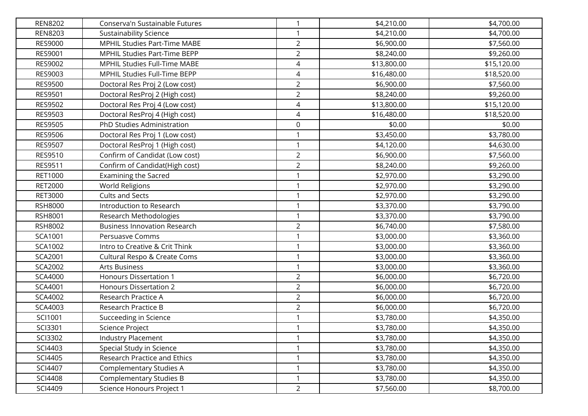| <b>REN8202</b> | Conserva'n Sustainable Futures      | $\mathbf{1}$   | \$4,210.00  | \$4,700.00  |
|----------------|-------------------------------------|----------------|-------------|-------------|
| <b>REN8203</b> | <b>Sustainability Science</b>       |                | \$4,210.00  | \$4,700.00  |
| <b>RES9000</b> | MPHIL Studies Part-Time MABE        | $\overline{2}$ | \$6,900.00  | \$7,560.00  |
| RES9001        | MPHIL Studies Part-Time BEPP        | $\overline{2}$ | \$8,240.00  | \$9,260.00  |
| RES9002        | MPHIL Studies Full-Time MABE        | 4              | \$13,800.00 | \$15,120.00 |
| RES9003        | MPHIL Studies Full-Time BEPP        | 4              | \$16,480.00 | \$18,520.00 |
| <b>RES9500</b> | Doctoral Res Proj 2 (Low cost)      | $\overline{2}$ | \$6,900.00  | \$7,560.00  |
| RES9501        | Doctoral ResProj 2 (High cost)      | $\overline{2}$ | \$8,240.00  | \$9,260.00  |
| RES9502        | Doctoral Res Proj 4 (Low cost)      | 4              | \$13,800.00 | \$15,120.00 |
| RES9503        | Doctoral ResProj 4 (High cost)      | 4              | \$16,480.00 | \$18,520.00 |
| <b>RES9505</b> | PhD Studies Administration          | 0              | \$0.00      | \$0.00      |
| RES9506        | Doctoral Res Proj 1 (Low cost)      | 1              | \$3,450.00  | \$3,780.00  |
| <b>RES9507</b> | Doctoral ResProj 1 (High cost)      | $\mathbf{1}$   | \$4,120.00  | \$4,630.00  |
| RES9510        | Confirm of Candidat (Low cost)      | $\overline{a}$ | \$6,900.00  | \$7,560.00  |
| RES9511        | Confirm of Candidat(High cost)      | $\overline{2}$ | \$8,240.00  | \$9,260.00  |
| RET1000        | <b>Examining the Sacred</b>         | 1              | \$2,970.00  | \$3,290.00  |
| <b>RET2000</b> | World Religions                     | $\mathbf{1}$   | \$2,970.00  | \$3,290.00  |
| RET3000        | <b>Cults and Sects</b>              | 1              | \$2,970.00  | \$3,290.00  |
| <b>RSH8000</b> | Introduction to Research            |                | \$3,370.00  | \$3,790.00  |
| RSH8001        | Research Methodologies              | 1              | \$3,370.00  | \$3,790.00  |
| RSH8002        | <b>Business Innovation Research</b> | $\overline{2}$ | \$6,740.00  | \$7,580.00  |
| SCA1001        | Persuasve Comms                     | 1              | \$3,000.00  | \$3,360.00  |
| SCA1002        | Intro to Creative & Crit Think      | $\mathbf{1}$   | \$3,000.00  | \$3,360.00  |
| SCA2001        | Cultural Respo & Create Coms        | 1              | \$3,000.00  | \$3,360.00  |
| SCA2002        | Arts Business                       | 1              | \$3,000.00  | \$3,360.00  |
| <b>SCA4000</b> | <b>Honours Dissertation 1</b>       | $\overline{2}$ | \$6,000.00  | \$6,720.00  |
| SCA4001        | Honours Dissertation 2              | $\overline{2}$ | \$6,000.00  | \$6,720.00  |
| SCA4002        | Research Practice A                 | $\overline{2}$ | \$6,000.00  | \$6,720.00  |
| SCA4003        | Research Practice B                 | $\overline{2}$ | \$6,000.00  | \$6,720.00  |
| SCI1001        | Succeeding in Science               | $\mathbf{1}$   | \$3,780.00  | \$4,350.00  |
| SCI3301        | Science Project                     |                | \$3,780.00  | \$4,350.00  |
| SCI3302        | <b>Industry Placement</b>           | $\mathbf{1}$   | \$3,780.00  | \$4,350.00  |
| SCI4403        | Special Study in Science            |                | \$3,780.00  | \$4,350.00  |
| SCI4405        | Research Practice and Ethics        | 1              | \$3,780.00  | \$4,350.00  |
| SCI4407        | <b>Complementary Studies A</b>      | 1              | \$3,780.00  | \$4,350.00  |
| SCI4408        | Complementary Studies B             |                | \$3,780.00  | \$4,350.00  |
| SCI4409        | Science Honours Project 1           | $\overline{2}$ | \$7,560.00  | \$8,700.00  |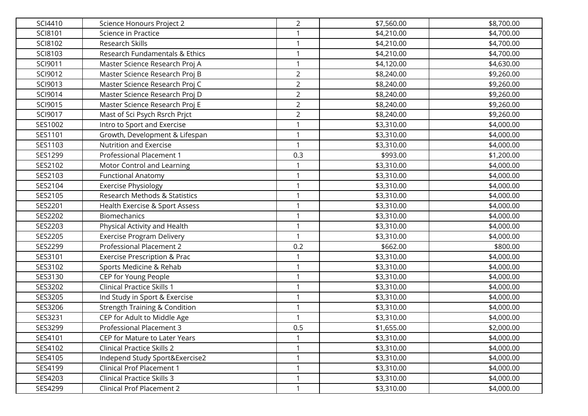| SCI4410 | Science Honours Project 2                | $\overline{2}$ | \$7,560.00 | \$8,700.00 |
|---------|------------------------------------------|----------------|------------|------------|
| SCI8101 | Science in Practice                      | 1              | \$4,210.00 | \$4,700.00 |
| SCI8102 | Research Skills                          | 1              | \$4,210.00 | \$4,700.00 |
| SCI8103 | Research Fundamentals & Ethics           | $\mathbf{1}$   | \$4,210.00 | \$4,700.00 |
| SCI9011 | Master Science Research Proj A           | 1              | \$4,120.00 | \$4,630.00 |
| SCI9012 | Master Science Research Proj B           | $\overline{2}$ | \$8,240.00 | \$9,260.00 |
| SCI9013 | Master Science Research Proj C           | $\overline{2}$ | \$8,240.00 | \$9,260.00 |
| SCI9014 | Master Science Research Proj D           | $\overline{2}$ | \$8,240.00 | \$9,260.00 |
| SCI9015 | Master Science Research Proj E           | $\overline{2}$ | \$8,240.00 | \$9,260.00 |
| SCI9017 | Mast of Sci Psych Rsrch Prjct            | $\overline{2}$ | \$8,240.00 | \$9,260.00 |
| SES1002 | Intro to Sport and Exercise              | $\mathbf{1}$   | \$3,310.00 | \$4,000.00 |
| SES1101 | Growth, Development & Lifespan           | $\mathbf{1}$   | \$3,310.00 | \$4,000.00 |
| SES1103 | Nutrition and Exercise                   | $\mathbf{1}$   | \$3,310.00 | \$4,000.00 |
| SES1299 | Professional Placement 1                 | 0.3            | \$993.00   | \$1,200.00 |
| SES2102 | Motor Control and Learning               | 1              | \$3,310.00 | \$4,000.00 |
| SES2103 | <b>Functional Anatomy</b>                | 1              | \$3,310.00 | \$4,000.00 |
| SES2104 | <b>Exercise Physiology</b>               | $\mathbf{1}$   | \$3,310.00 | \$4,000.00 |
| SES2105 | Research Methods & Statistics            | $\mathbf{1}$   | \$3,310.00 | \$4,000.00 |
| SES2201 | Health Exercise & Sport Assess           | 1              | \$3,310.00 | \$4,000.00 |
| SES2202 | <b>Biomechanics</b>                      | $\mathbf{1}$   | \$3,310.00 | \$4,000.00 |
| SES2203 | Physical Activity and Health             | 1              | \$3,310.00 | \$4,000.00 |
| SES2205 | <b>Exercise Program Delivery</b>         | 1              | \$3,310.00 | \$4,000.00 |
| SES2299 | Professional Placement 2                 | 0.2            | \$662.00   | \$800.00   |
| SES3101 | <b>Exercise Prescription &amp; Prac</b>  | 1              | \$3,310.00 | \$4,000.00 |
| SES3102 | Sports Medicine & Rehab                  | $\mathbf{1}$   | \$3,310.00 | \$4,000.00 |
| SES3130 | CEP for Young People                     | $\mathbf{1}$   | \$3,310.00 | \$4,000.00 |
| SES3202 | <b>Clinical Practice Skills 1</b>        | $\mathbf{1}$   | \$3,310.00 | \$4,000.00 |
| SES3205 | Ind Study in Sport & Exercise            | 1              | \$3,310.00 | \$4,000.00 |
| SES3206 | <b>Strength Training &amp; Condition</b> | 1              | \$3,310.00 | \$4,000.00 |
| SES3231 | CEP for Adult to Middle Age              | $\mathbf{1}$   | \$3,310.00 | \$4,000.00 |
| SES3299 | Professional Placement 3                 | 0.5            | \$1,655.00 | \$2,000.00 |
| SES4101 | CEP for Mature to Later Years            | $\mathbf{1}$   | \$3,310.00 | \$4,000.00 |
| SES4102 | <b>Clinical Practice Skills 2</b>        | 1              | \$3,310.00 | \$4,000.00 |
| SES4105 | Independ Study Sport&Exercise2           | 1              | \$3,310.00 | \$4,000.00 |
| SES4199 | <b>Clinical Prof Placement 1</b>         | 1              | \$3,310.00 | \$4,000.00 |
| SES4203 | <b>Clinical Practice Skills 3</b>        | 1              | \$3,310.00 | \$4,000.00 |
| SES4299 | <b>Clinical Prof Placement 2</b>         | $\mathbf{1}$   | \$3,310.00 | \$4,000.00 |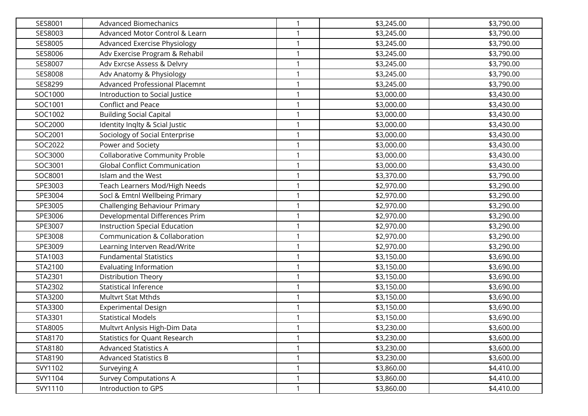| SES8001 | <b>Advanced Biomechanics</b>          | 1            | \$3,245.00 | \$3,790.00 |
|---------|---------------------------------------|--------------|------------|------------|
| SES8003 | Advanced Motor Control & Learn        |              | \$3,245.00 | \$3,790.00 |
| SES8005 | <b>Advanced Exercise Physiology</b>   | 1            | \$3,245.00 | \$3,790.00 |
| SES8006 | Adv Exercise Program & Rehabil        | $\mathbf{1}$ | \$3,245.00 | \$3,790.00 |
| SES8007 | Adv Exrcse Assess & Delvry            | 1            | \$3,245.00 | \$3,790.00 |
| SES8008 | Adv Anatomy & Physiology              | 1            | \$3,245.00 | \$3,790.00 |
| SES8299 | Advanced Professional Placemnt        | 1            | \$3,245.00 | \$3,790.00 |
| SOC1000 | Introduction to Social Justice        | 1            | \$3,000.00 | \$3,430.00 |
| SOC1001 | Conflict and Peace                    | $\mathbf{1}$ | \$3,000.00 | \$3,430.00 |
| SOC1002 | <b>Building Social Capital</b>        | 1            | \$3,000.00 | \$3,430.00 |
| SOC2000 | Identity Inqlty & Scial Justic        | 1            | \$3,000.00 | \$3,430.00 |
| SOC2001 | Sociology of Social Enterprise        | 1            | \$3,000.00 | \$3,430.00 |
| SOC2022 | Power and Society                     | 1            | \$3,000.00 | \$3,430.00 |
| SOC3000 | <b>Collaborative Community Proble</b> | 1            | \$3,000.00 | \$3,430.00 |
| SOC3001 | <b>Global Conflict Communication</b>  |              | \$3,000.00 | \$3,430.00 |
| SOC8001 | Islam and the West                    | 1            | \$3,370.00 | \$3,790.00 |
| SPE3003 | Teach Learners Mod/High Needs         | 1            | \$2,970.00 | \$3,290.00 |
| SPE3004 | Socl & Emtnl Wellbeing Primary        | 1            | \$2,970.00 | \$3,290.00 |
| SPE3005 | Challenging Behaviour Primary         | 1            | \$2,970.00 | \$3,290.00 |
| SPE3006 | Developmental Differences Prim        |              | \$2,970.00 | \$3,290.00 |
| SPE3007 | Instruction Special Education         | 1            | \$2,970.00 | \$3,290.00 |
| SPE3008 | Communication & Collaboration         | 1            | \$2,970.00 | \$3,290.00 |
| SPE3009 | Learning Interven Read/Write          | 1            | \$2,970.00 | \$3,290.00 |
| STA1003 | <b>Fundamental Statistics</b>         | 1            | \$3,150.00 | \$3,690.00 |
| STA2100 | <b>Evaluating Information</b>         | 1            | \$3,150.00 | \$3,690.00 |
| STA2301 | Distribution Theory                   | 1            | \$3,150.00 | \$3,690.00 |
| STA2302 | <b>Statistical Inference</b>          | 1            | \$3,150.00 | \$3,690.00 |
| STA3200 | <b>Multvrt Stat Mthds</b>             | $\mathbf{1}$ | \$3,150.00 | \$3,690.00 |
| STA3300 | <b>Experimental Design</b>            | 1            | \$3,150.00 | \$3,690.00 |
| STA3301 | <b>Statistical Models</b>             | 1            | \$3,150.00 | \$3,690.00 |
| STA8005 | Multvrt Anlysis High-Dim Data         | 1            | \$3,230.00 | \$3,600.00 |
| STA8170 | <b>Statistics for Quant Research</b>  | 1            | \$3,230.00 | \$3,600.00 |
| STA8180 | <b>Advanced Statistics A</b>          |              | \$3,230.00 | \$3,600.00 |
| STA8190 | <b>Advanced Statistics B</b>          | $\mathbf{1}$ | \$3,230.00 | \$3,600.00 |
| SVY1102 | Surveying A                           | $\mathbf{1}$ | \$3,860.00 | \$4,410.00 |
| SVY1104 | <b>Survey Computations A</b>          | 1            | \$3,860.00 | \$4,410.00 |
| SVY1110 | Introduction to GPS                   | 1            | \$3,860.00 | \$4,410.00 |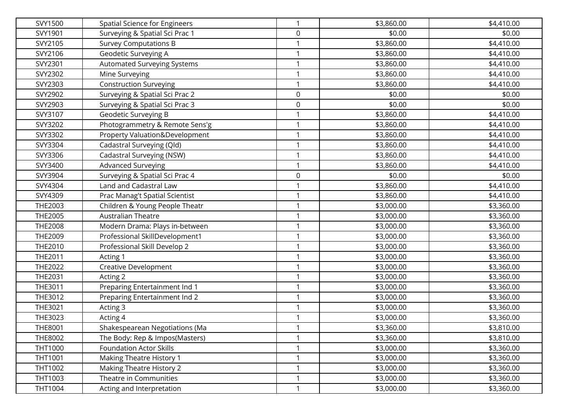| SVY1500        | <b>Spatial Science for Engineers</b> | 1 | \$3,860.00 | \$4,410.00 |
|----------------|--------------------------------------|---|------------|------------|
| SVY1901        | Surveying & Spatial Sci Prac 1       | 0 | \$0.00     | \$0.00     |
| SVY2105        | <b>Survey Computations B</b>         |   | \$3,860.00 | \$4,410.00 |
| SVY2106        | Geodetic Surveying A                 | 1 | \$3,860.00 | \$4,410.00 |
| SVY2301        | Automated Surveying Systems          |   | \$3,860.00 | \$4,410.00 |
| SVY2302        | Mine Surveying                       |   | \$3,860.00 | \$4,410.00 |
| SVY2303        | <b>Construction Surveying</b>        |   | \$3,860.00 | \$4,410.00 |
| SVY2902        | Surveying & Spatial Sci Prac 2       | 0 | \$0.00     | \$0.00     |
| SVY2903        | Surveying & Spatial Sci Prac 3       | 0 | \$0.00     | \$0.00     |
| SVY3107        | Geodetic Surveying B                 |   | \$3,860.00 | \$4,410.00 |
| SVY3202        | Photogrammetry & Remote Sens'g       |   | \$3,860.00 | \$4,410.00 |
| SVY3302        | Property Valuation&Development       |   | \$3,860.00 | \$4,410.00 |
| SVY3304        | Cadastral Surveying (Qld)            |   | \$3,860.00 | \$4,410.00 |
| SVY3306        | Cadastral Surveying (NSW)            |   | \$3,860.00 | \$4,410.00 |
| SVY3400        | <b>Advanced Surveying</b>            |   | \$3,860.00 | \$4,410.00 |
| SVY3904        | Surveying & Spatial Sci Prac 4       | 0 | \$0.00     | \$0.00     |
| SVY4304        | Land and Cadastral Law               |   | \$3,860.00 | \$4,410.00 |
| SVY4309        | Prac Manag't Spatial Scientist       | 1 | \$3,860.00 | \$4,410.00 |
| THE2003        | Children & Young People Theatr       |   | \$3,000.00 | \$3,360.00 |
| <b>THE2005</b> | <b>Australian Theatre</b>            |   | \$3,000.00 | \$3,360.00 |
| <b>THE2008</b> | Modern Drama: Plays in-between       |   | \$3,000.00 | \$3,360.00 |
| THE2009        | Professional SkillDevelopment1       |   | \$3,000.00 | \$3,360.00 |
| THE2010        | Professional Skill Develop 2         | 1 | \$3,000.00 | \$3,360.00 |
| <b>THE2011</b> | Acting 1                             |   | \$3,000.00 | \$3,360.00 |
| THE2022        | <b>Creative Development</b>          |   | \$3,000.00 | \$3,360.00 |
| THE2031        | Acting 2                             |   | \$3,000.00 | \$3,360.00 |
| THE3011        | Preparing Entertainment Ind 1        |   | \$3,000.00 | \$3,360.00 |
| THE3012        | Preparing Entertainment Ind 2        |   | \$3,000.00 | \$3,360.00 |
| THE3021        | Acting 3                             |   | \$3,000.00 | \$3,360.00 |
| THE3023        | Acting 4                             |   | \$3,000.00 | \$3,360.00 |
| <b>THE8001</b> | Shakespearean Negotiations (Ma       |   | \$3,360.00 | \$3,810.00 |
| THE8002        | The Body: Rep & Impos(Masters)       | 1 | \$3,360.00 | \$3,810.00 |
| THT1000        | <b>Foundation Actor Skills</b>       |   | \$3,000.00 | \$3,360.00 |
| THT1001        | Making Theatre History 1             |   | \$3,000.00 | \$3,360.00 |
| THT1002        | Making Theatre History 2             | 1 | \$3,000.00 | \$3,360.00 |
| THT1003        | Theatre in Communities               |   | \$3,000.00 | \$3,360.00 |
| THT1004        | Acting and Interpretation            | 1 | \$3,000.00 | \$3,360.00 |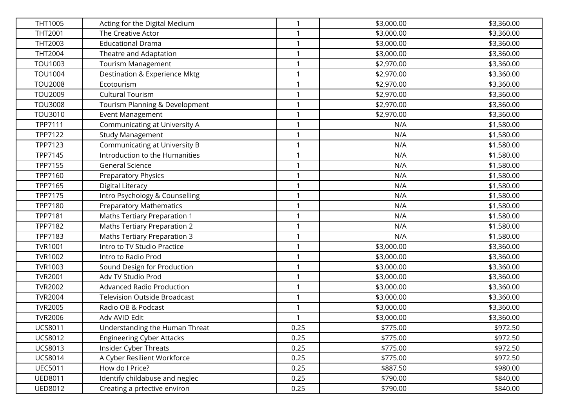| <b>THT1005</b> | Acting for the Digital Medium       | $\mathbf{1}$ | \$3,000.00 | \$3,360.00 |
|----------------|-------------------------------------|--------------|------------|------------|
| THT2001        | The Creative Actor                  |              | \$3,000.00 | \$3,360.00 |
| THT2003        | <b>Educational Drama</b>            | 1            | \$3,000.00 | \$3,360.00 |
| THT2004        | Theatre and Adaptation              | $\mathbf{1}$ | \$3,000.00 | \$3,360.00 |
| <b>TOU1003</b> | <b>Tourism Management</b>           | 1            | \$2,970.00 | \$3,360.00 |
| <b>TOU1004</b> | Destination & Experience Mktg       | 1            | \$2,970.00 | \$3,360.00 |
| <b>TOU2008</b> | Ecotourism                          | 1            | \$2,970.00 | \$3,360.00 |
| <b>TOU2009</b> | <b>Cultural Tourism</b>             | 1            | \$2,970.00 | \$3,360.00 |
| <b>TOU3008</b> | Tourism Planning & Development      | 1            | \$2,970.00 | \$3,360.00 |
| TOU3010        | Event Management                    | 1            | \$2,970.00 | \$3,360.00 |
| TPP7111        | Communicating at University A       | $\mathbf{1}$ | N/A        | \$1,580.00 |
| TPP7122        | <b>Study Management</b>             | $\mathbf{1}$ | N/A        | \$1,580.00 |
| TPP7123        | Communicating at University B       | 1            | N/A        | \$1,580.00 |
| TPP7145        | Introduction to the Humanities      | 1            | N/A        | \$1,580.00 |
| TPP7155        | <b>General Science</b>              | 1            | N/A        | \$1,580.00 |
| TPP7160        | <b>Preparatory Physics</b>          | 1            | N/A        | \$1,580.00 |
| TPP7165        | <b>Digital Literacy</b>             | 1            | N/A        | \$1,580.00 |
| TPP7175        | Intro Psychology & Counselling      | 1            | N/A        | \$1,580.00 |
| TPP7180        | <b>Preparatory Mathematics</b>      |              | N/A        | \$1,580.00 |
| TPP7181        | <b>Maths Tertiary Preparation 1</b> | 1            | N/A        | \$1,580.00 |
| TPP7182        | <b>Maths Tertiary Preparation 2</b> | 1            | N/A        | \$1,580.00 |
| TPP7183        | <b>Maths Tertiary Preparation 3</b> | 1            | N/A        | \$1,580.00 |
| <b>TVR1001</b> | Intro to TV Studio Practice         | $\mathbf{1}$ | \$3,000.00 | \$3,360.00 |
| <b>TVR1002</b> | Intro to Radio Prod                 | 1            | \$3,000.00 | \$3,360.00 |
| <b>TVR1003</b> | Sound Design for Production         | 1            | \$3,000.00 | \$3,360.00 |
| <b>TVR2001</b> | Adv TV Studio Prod                  | 1            | \$3,000.00 | \$3,360.00 |
| <b>TVR2002</b> | <b>Advanced Radio Production</b>    | 1            | \$3,000.00 | \$3,360.00 |
| <b>TVR2004</b> | <b>Television Outside Broadcast</b> | 1            | \$3,000.00 | \$3,360.00 |
| <b>TVR2005</b> | Radio OB & Podcast                  |              | \$3,000.00 | \$3,360.00 |
| <b>TVR2006</b> | Adv AVID Edit                       | 1            | \$3,000.00 | \$3,360.00 |
| <b>UCS8011</b> | Understanding the Human Threat      | 0.25         | \$775.00   | \$972.50   |
| <b>UCS8012</b> | <b>Engineering Cyber Attacks</b>    | 0.25         | \$775.00   | \$972.50   |
| <b>UCS8013</b> | Insider Cyber Threats               | 0.25         | \$775.00   | \$972.50   |
| <b>UCS8014</b> | A Cyber Resilient Workforce         | 0.25         | \$775.00   | \$972.50   |
| <b>UEC5011</b> | How do I Price?                     | 0.25         | \$887.50   | \$980.00   |
| <b>UED8011</b> | Identify childabuse and neglec      | 0.25         | \$790.00   | \$840.00   |
| <b>UED8012</b> | Creating a prtective environ        | 0.25         | \$790.00   | \$840.00   |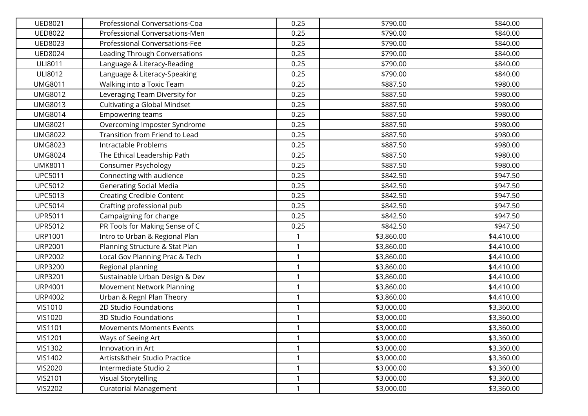| <b>UED8021</b> | Professional Conversations-Coa       | 0.25         | \$790.00   | \$840.00   |
|----------------|--------------------------------------|--------------|------------|------------|
| <b>UED8022</b> | Professional Conversations-Men       | 0.25         | \$790.00   | \$840.00   |
| <b>UED8023</b> | Professional Conversations-Fee       | 0.25         | \$790.00   | \$840.00   |
| <b>UED8024</b> | <b>Leading Through Conversations</b> | 0.25         | \$790.00   | \$840.00   |
| <b>ULI8011</b> | Language & Literacy-Reading          | 0.25         | \$790.00   | \$840.00   |
| <b>ULI8012</b> | Language & Literacy-Speaking         | 0.25         | \$790.00   | \$840.00   |
| <b>UMG8011</b> | Walking into a Toxic Team            | 0.25         | \$887.50   | \$980.00   |
| <b>UMG8012</b> | Leveraging Team Diversity for        | 0.25         | \$887.50   | \$980.00   |
| <b>UMG8013</b> | Cultivating a Global Mindset         | 0.25         | \$887.50   | \$980.00   |
| <b>UMG8014</b> | Empowering teams                     | 0.25         | \$887.50   | \$980.00   |
| <b>UMG8021</b> | Overcoming Imposter Syndrome         | 0.25         | \$887.50   | \$980.00   |
| <b>UMG8022</b> | Transition from Friend to Lead       | 0.25         | \$887.50   | \$980.00   |
| <b>UMG8023</b> | Intractable Problems                 | 0.25         | \$887.50   | \$980.00   |
| <b>UMG8024</b> | The Ethical Leadership Path          | 0.25         | \$887.50   | \$980.00   |
| <b>UMK8011</b> | Consumer Psychology                  | 0.25         | \$887.50   | \$980.00   |
| <b>UPC5011</b> | Connecting with audience             | 0.25         | \$842.50   | \$947.50   |
| <b>UPC5012</b> | <b>Generating Social Media</b>       | 0.25         | \$842.50   | \$947.50   |
| <b>UPC5013</b> | <b>Creating Credible Content</b>     | 0.25         | \$842.50   | \$947.50   |
| <b>UPC5014</b> | Crafting professional pub            | 0.25         | \$842.50   | \$947.50   |
| <b>UPR5011</b> | Campaigning for change               | 0.25         | \$842.50   | \$947.50   |
| <b>UPR5012</b> | PR Tools for Making Sense of C       | 0.25         | \$842.50   | \$947.50   |
| <b>URP1001</b> | Intro to Urban & Regional Plan       | 1            | \$3,860.00 | \$4,410.00 |
| <b>URP2001</b> | Planning Structure & Stat Plan       | $\mathbf{1}$ | \$3,860.00 | \$4,410.00 |
| <b>URP2002</b> | Local Gov Planning Prac & Tech       | $\mathbf{1}$ | \$3,860.00 | \$4,410.00 |
| <b>URP3200</b> | Regional planning                    | $\mathbf{1}$ | \$3,860.00 | \$4,410.00 |
| <b>URP3201</b> | Sustainable Urban Design & Dev       | 1            | \$3,860.00 | \$4,410.00 |
| <b>URP4001</b> | Movement Network Planning            | 1            | \$3,860.00 | \$4,410.00 |
| <b>URP4002</b> | Urban & Regnl Plan Theory            | 1            | \$3,860.00 | \$4,410.00 |
| <b>VIS1010</b> | 2D Studio Foundations                | 1            | \$3,000.00 | \$3,360.00 |
| VIS1020        | <b>3D Studio Foundations</b>         | $\mathbf{1}$ | \$3,000.00 | \$3,360.00 |
| <b>VIS1101</b> | <b>Movements Moments Events</b>      | 1            | \$3,000.00 | \$3,360.00 |
| <b>VIS1201</b> | Ways of Seeing Art                   | $\mathbf{1}$ | \$3,000.00 | \$3,360.00 |
| <b>VIS1302</b> | Innovation in Art                    | 1            | \$3,000.00 | \$3,360.00 |
| <b>VIS1402</b> | Artists&their Studio Practice        | 1            | \$3,000.00 | \$3,360.00 |
| <b>VIS2020</b> | Intermediate Studio 2                | $\mathbf{1}$ | \$3,000.00 | \$3,360.00 |
| <b>VIS2101</b> | <b>Visual Storytelling</b>           | 1            | \$3,000.00 | \$3,360.00 |
| <b>VIS2202</b> | <b>Curatorial Management</b>         | $\mathbf{1}$ | \$3,000.00 | \$3,360.00 |